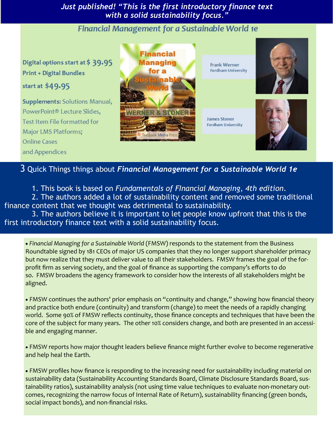*Just published! "This is the first introductory finance text with a solid sustainability focus."*

### Financial Management for a Sustainable World 1e

Digital options start at \$39.95 **Print + Digital Bundles** start at \$49.95

Supplements: Solutions Manual, PowerPoint® Lecture Slides, Test Item File formatted for Major LMS Platforms; **Online Cases** and Appendices

ł



**Frank Werner Fordham University** 

**James Stoner Fordham University** 





## 3 Quick Things things about *Financial Management for a Sustainable World 1e*

1. This book is based on *Fundamentals of FInancial Managing, 4th edition*.

 2. The authors added a lot of sustainability content and removed some traditional finance content that we thought was detrimental to sustainability.

 3. The authors believe it is important to let people know upfront that this is the first introductory finance text with a solid sustainability focus.

• *Financial Managing for a Sustainable World* (FMSW) responds to the statement from the Business Roundtable signed by 181 CEOs of major US companies that they no longer support shareholder primacy but now realize that they must deliver value to all their stakeholders. FMSW frames the goal of the forprofit firm as serving society, and the goal of finance as supporting the company's efforts to do so. FMSW broadens the agency framework to consider how the interests of all stakeholders might be aligned.

• FMSW continues the authors' prior emphasis on "continuity and change," showing how financial theory and practice both endure (continuity) and transform (change) to meet the needs of a rapidly changing world. Some 90% of FMSW reflects continuity, those finance concepts and techniques that have been the core of the subject for many years. The other 10% considers change, and both are presented in an accessible and engaging manner.

• FMSW reports how major thought leaders believe finance might further evolve to become regenerative and help heal the Earth.

• FMSW profiles how finance is responding to the increasing need for sustainability including material on sustainability data (Sustainability Accounting Standards Board, Climate Disclosure Standards Board, sustainability ratios), sustainability analysis (not using time value techniques to evaluate non-monetary outcomes, recognizing the narrow focus of Internal Rate of Return), sustainability financing (green bonds, social impact bonds), and non-financial risks.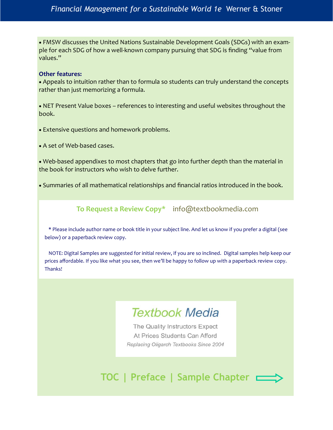### *Financial Management for a Sustainable World 1e* Werner & Stoner

• FMSW discusses the United Nations Sustainable Development Goals (SDGs) with an example for each SDG of how a well-known company pursuing that SDG is finding "value from values."

#### **Other features:**

• Appeals to intuition rather than to formula so students can truly understand the concepts rather than just memorizing a formula.

• NET Present Value boxes – references to interesting and useful websites throughout the book.

• Extensive questions and homework problems.

• A set of Web-based cases.

• Web-based appendixes to most chapters that go into further depth than the material in the book for instructors who wish to delve further.

• Summaries of all mathematical relationships and financial ratios introduced in the book.

**To Request a Review Copy\*** info@textbookmedia.com

\* Please include author name or book title in your subject line. And let us know if you prefer a digital (see below) or a paperback review copy.

NOTE: Digital Samples are suggested for initial review, if you are so inclined. Digital samples help keep our prices affordable. If you like what you see, then we'll be happy to follow up with a paperback review copy. Thanks!

# **Textbook Media**

The Quality Instructors Expect At Prices Students Can Afford Replacing Oligarch Textbooks Since 2004

 **TOC | Preface | Sample Chapter**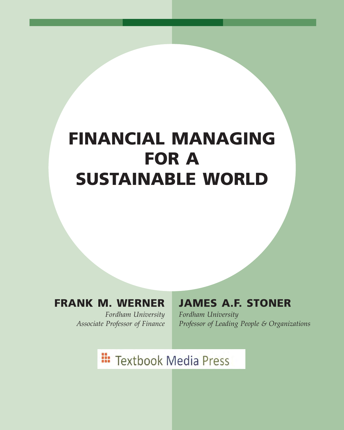# **FINANCIAL MANAGING FOR A SUSTAINABLE WORLD**

### **FRANK M. WERNER**

*Fordham University Associate Professor of Finance*

## **JAMES A.F. STONER**

*Fordham University Professor of Leading People & Organizations*

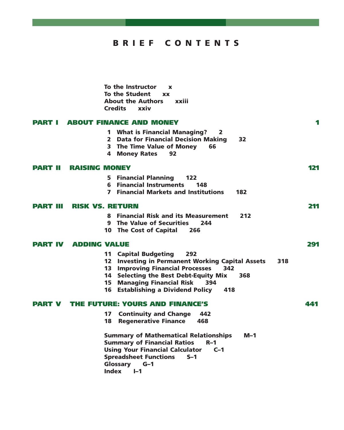### **B R I E F C O N T E N T S**

|                                | To the Instructor<br>$\boldsymbol{\mathsf{x}}$<br><b>To the Student</b><br><b>XX</b><br><b>About the Authors</b><br>xxiii<br><b>Credits</b><br>xxiv                                                                                                                                     |     |  |
|--------------------------------|-----------------------------------------------------------------------------------------------------------------------------------------------------------------------------------------------------------------------------------------------------------------------------------------|-----|--|
| PART I                         | <b>ABOUT FINANCE AND MONEY</b>                                                                                                                                                                                                                                                          |     |  |
|                                | 1 What is Financial Managing?<br>2<br>2 Data for Financial Decision Making<br>32<br>3 The Time Value of Money<br>66<br>92<br>4<br><b>Money Rates</b>                                                                                                                                    |     |  |
| <b>PART II</b>                 | <b>RAISING MONEY</b>                                                                                                                                                                                                                                                                    | 121 |  |
|                                | <b>5 Financial Planning</b><br>122<br><b>Financial Instruments</b><br>148<br>6.<br><b>Financial Markets and Institutions</b><br>7<br>182                                                                                                                                                |     |  |
| PART III                       | <b>RISK VS. RETURN</b>                                                                                                                                                                                                                                                                  | 211 |  |
|                                | <b>Financial Risk and its Measurement</b><br>212<br>8<br><b>9 The Value of Securities</b><br>244<br>10 The Cost of Capital<br>266                                                                                                                                                       |     |  |
| <b>ADDING VALUE</b><br>PART IV |                                                                                                                                                                                                                                                                                         |     |  |
|                                | <b>11 Capital Budgeting</b><br>292<br>12 Investing in Permanent Working Capital Assets<br>318<br><b>13 Improving Financial Processes</b><br>342<br>14 Selecting the Best Debt-Equity Mix<br>368<br><b>15 Managing Financial Risk</b><br>394<br>16 Establishing a Dividend Policy<br>418 |     |  |
| PART V                         | <b>THE FUTURE: YOURS AND FINANCE'S</b><br>441                                                                                                                                                                                                                                           |     |  |
|                                | 17<br><b>Continuity and Change</b><br>442<br>18<br><b>Regenerative Finance</b><br>468                                                                                                                                                                                                   |     |  |
|                                | <b>Summary of Mathematical Relationships</b><br>M-1<br><b>Summary of Financial Ratios</b><br>$R-1$<br><b>Using Your Financial Calculator</b><br>$C-1$<br><b>Spreadsheet Functions</b><br>$S-1$<br>Glossary<br>$G-1$<br><b>Index</b><br>$I-1$                                            |     |  |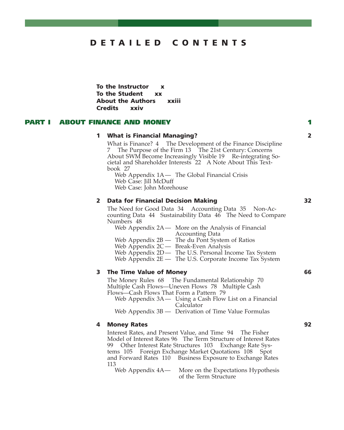### **D E T A I L E D C O N T E N T S**

**To the Instructor x To the Student xx About the Authors xxiii Credits xxiv**

#### **PART I ABOUT FINANCE AND MONEY 1**

#### **1 What is Financial Managing? 2** What is Finance? 4 The Development of the Finance Discipline 7 The Purpose of the Firm 13 The 21st Century: Concerns About SWM Become Increasingly Visible 19 Re-integrating Societal and Shareholder Interests 22 A Note About This Textbook 27 Web Appendix 1A — The Global Financial Crisis Web Case: Jill McDuff Web Case: John Morehouse **2 Data for Financial Decision Making 32** The Need for Good Data 34 Accounting Data 35 Non-Ac-

counting Data 44 Sustainability Data 46 The Need to Compare Numbers  $48$ <br>Web Appendix  $24$ . More on the Analysis of Financial

| $\mu$ and $\mu$ and $\mu$ and $\mu$ and $\mu$ and $\mu$ and $\mu$ and $\mu$ |
|-----------------------------------------------------------------------------|
| <b>Accounting Data</b>                                                      |
| Web Appendix $2B -$ The du Pont System of Ratios                            |
| Web Appendix 2C — Break-Even Analysis                                       |
| Web Appendix 2D— The U.S. Personal Income Tax System                        |
| Web Appendix 2E — The U.S. Corporate Income Tax System                      |
|                                                                             |

#### **3 The Time Value of Money 66**

The Money Rules 68 The Fundamental Relationship 70 Multiple Cash Flows—Uneven Flows 78 Multiple Cash Flows—Cash Flows That Form a Pattern 79

Web Appendix 3A— Using a Cash Flow List on a Financial Calculator

Web Appendix 3B — Derivation of Time Value Formulas

#### **4 Money Rates 92**

Interest Rates, and Present Value, and Time 94 The Fisher Model of Interest Rates 96 The Term Structure of Interest Rates 99 Other Interest Rate Structures 103 Exchange Rate Systems 105 Foreign Exchange Market Quotations 108 Spot and Forward Rates 110 Business Exposure to Exchange Rates 113

Web Appendix 4A— More on the Expectations Hypothesis of the Term Structure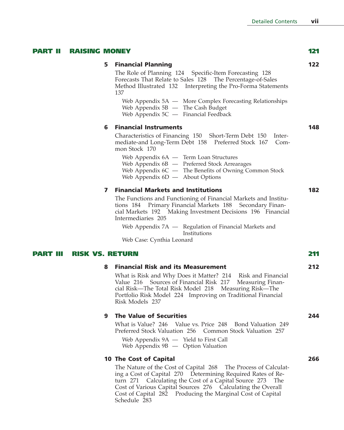| <b>PART II</b> | <b>RAISING MONEY</b>   |                                                                                                                                                                                                                                                                                                                                                                    |     |
|----------------|------------------------|--------------------------------------------------------------------------------------------------------------------------------------------------------------------------------------------------------------------------------------------------------------------------------------------------------------------------------------------------------------------|-----|
|                | 5                      | <b>Financial Planning</b><br>The Role of Planning 124 Specific-Item Forecasting 128<br>Forecasts That Relate to Sales 128 The Percentage-of-Sales<br>Method Illustrated 132 Interpreting the Pro-Forma Statements<br>137<br>Web Appendix 5A - More Complex Forecasting Relationships<br>Web Appendix 5B - The Cash Budget<br>Web Appendix 5C - Financial Feedback  | 122 |
|                | 6                      | <b>Financial Instruments</b>                                                                                                                                                                                                                                                                                                                                       | 148 |
|                |                        | Characteristics of Financing 150 Short-Term Debt 150 Inter-<br>mediate-and Long-Term Debt 158 Preferred Stock 167<br>Com-<br>mon Stock 170<br>Web Appendix $6A - \text{Term}$ Loan Structures<br>Web Appendix 6B  —   Preferred Stock Arrearages<br>Web Appendix 6C  —   The Benefits of Owning Common Stock<br>Web Appendix 6D - About Options                    |     |
|                | 7                      | <b>Financial Markets and Institutions</b><br>The Functions and Functioning of Financial Markets and Institu-<br>tions 184 Primary Financial Markets 188 Secondary Finan-<br>cial Markets 192 Making Investment Decisions 196 Financial<br>Intermediaries 205<br>Web Appendix 7A — Regulation of Financial Markets and<br>Institutions<br>Web Case: Cynthia Leonard | 182 |
| PART III       | <b>RISK VS. RETURN</b> |                                                                                                                                                                                                                                                                                                                                                                    | 211 |
|                | 8                      | <b>Financial Risk and its Measurement</b><br>What is Risk and Why Does it Matter? 214 Risk and Financial<br>Value 216 Sources of Financial Risk 217<br>Measuring Finan-<br>cial Risk—The Total Risk Model 218 Measuring Risk—The<br>Portfolio Risk Model 224 Improving on Traditional Financial<br>Risk Models 237                                                 | 212 |
|                | 9                      | <b>The Value of Securities</b>                                                                                                                                                                                                                                                                                                                                     | 244 |
|                |                        | What is Value? 246<br>Value vs. Price 248<br>Bond Valuation 249<br>Preferred Stock Valuation 256<br>Common Stock Valuation 257<br>Web Appendix 9A - Yield to First Call<br>Web Appendix $9B -$ Option Valuation                                                                                                                                                    |     |
|                |                        | <b>10 The Cost of Capital</b>                                                                                                                                                                                                                                                                                                                                      | 266 |
|                |                        | The Nature of the Cost of Capital 268 The Process of Calculat-<br>ing a Cost of Capital 270 Determining Required Rates of Re-<br>turn 271 Colculating the Cost of a Capital Course 272 The                                                                                                                                                                         |     |

turn 271 Calculating the Cost of a Capital Source 273 The Cost of Various Capital Sources 276 Calculating the Overall Cost of Capital 282 Producing the Marginal Cost of Capital Schedule 283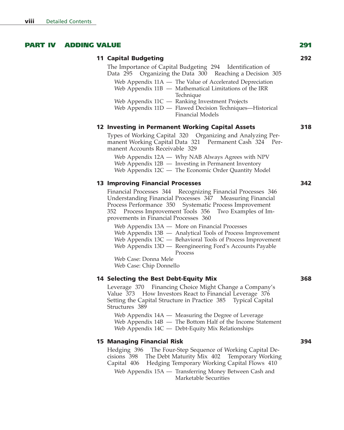#### **PART IV ADDING VALUE 291**

#### **11 Capital Budgeting 292**

The Importance of Capital Budgeting 294 Identification of Data 295 Organizing the Data 300 Reaching a Decision 305

|  | Web Appendix $11A$ — The Value of Accelerated Depreciation |
|--|------------------------------------------------------------|
|  | Web Appendix $11B$ — Mathematical Limitations of the IRR   |
|  | Technique                                                  |
|  | Web Appendix 11C - Ranking Investment Projects             |
|  | Web Appendix 11D - Flawed Decision Techniques-Historical   |
|  | <b>Financial Models</b>                                    |

#### **12 Investing in Permanent Working Capital Assets 318**

Types of Working Capital 320 Organizing and Analyzing Permanent Working Capital Data 321 Permanent Cash 324 Permanent Accounts Receivable 329

Web Appendix 12A — Why NAB Always Agrees with NPV Web Appendix 12B - Investing in Permanent Inventory Web Appendix 12C — The Economic Order Quantity Model

#### **13 Improving Financial Processes 342**

Financial Processes 344 Recognizing Financial Processes 346 Understanding Financial Processes 347 Measuring Financial Process Performance 350 Systematic Process Improvement 352 Process Improvement Tools 356 Two Examples of Improvements in Financial Processes 360

Web Appendix 13A — More on Financial Processes Web Appendix 13B — Analytical Tools of Process Improvement Web Appendix 13C — Behavioral Tools of Process Improvement Web Appendix 13D — Reengineering Ford's Accounts Payable Process Web Case: Donna Mele

Web Case: Chip Donnello

#### **14 Selecting the Best Debt-Equity Mix 368**

Leverage 370 Financing Choice Might Change a Company's Value 373 How Investors React to Financial Leverage 376 Setting the Capital Structure in Practice 385 Typical Capital Structures 389

Web Appendix 14A — Measuring the Degree of Leverage Web Appendix 14B — The Bottom Half of the Income Statement Web Appendix 14C — Debt-Equity Mix Relationships

#### **15 Managing Financial Risk 394**

Hedging 396 The Four-Step Sequence of Working Capital Decisions 398 The Debt Maturity Mix 402 Temporary Working Capital 406 Hedging Temporary Working Capital Flows 410

Web Appendix 15A — Transferring Money Between Cash and Marketable Securities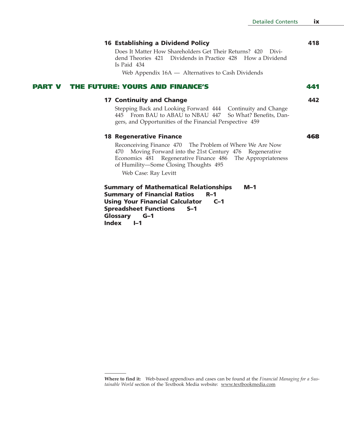#### **16 Establishing a Dividend Policy 418**

Does It Matter How Shareholders Get Their Returns? 420 Dividend Theories 421 Dividends in Practice 428 How a Dividend Is Paid 434

Web Appendix 16A — Alternatives to Cash Dividends

#### **PART V THE FUTURE: YOURS AND FINANCE'S 441**

#### **17 Continuity and Change 442**

Stepping Back and Looking Forward 444 Continuity and Change 445 From BAU to ABAU to NBAU 447 So What? Benefits, Dangers, and Opportunities of the Financial Perspective 459

#### **18 Regenerative Finance 468**

Reconceiving Finance 470 The Problem of Where We Are Now 470 Moving Forward into the 21st Century 476 Regenerative Economics 481 Regenerative Finance 486 The Appropriateness of Humility—Some Closing Thoughts 495

Web Case: Ray Levitt

**Summary of Mathematical Relationships M–1 Summary of Financial Ratios R–1 Using Your Financial Calculator C–1 Spreadsheet Functions S–1 Glossary G–1 Index I–1**

**Where to find it:** Web-based appendixes and cases can be found at the *Financial Managing for a Sustainable World* section of the Textbook Media website: www.textbookmedia.com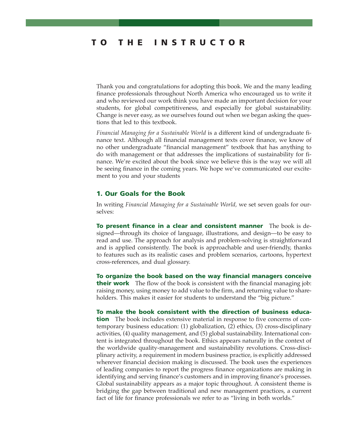### **T O T H E I N S T R U C T O R**

Thank you and congratulations for adopting this book. We and the many leading finance professionals throughout North America who encouraged us to write it and who reviewed our work think you have made an important decision for your students, for global competitiveness, and especially for global sustainability. Change is never easy, as we ourselves found out when we began asking the questions that led to this textbook.

*Financial Managing for a Sustainable World* is a different kind of undergraduate finance text. Although all financial management texts cover finance, we know of no other undergraduate "financial management" textbook that has anything to do with management or that addresses the implications of sustainability for finance. We're excited about the book since we believe this is the way we will all be seeing finance in the coming years. We hope we've communicated our excitement to you and your students

#### **1. Our Goals for the Book**

In writing *Financial Managing for a Sustainable World,* we set seven goals for ourselves:

**To present finance in a clear and consistent manner** The book is designed—through its choice of language, illustrations, and design—to be easy to read and use. The approach for analysis and problem-solving is straightforward and is applied consistently. The book is approachable and user-friendly, thanks to features such as its realistic cases and problem scenarios, cartoons, hypertext cross-references, and dual glossary.

**To organize the book based on the way financial managers conceive their work** The flow of the book is consistent with the financial managing job: raising money, using money to add value to the firm, and returning value to shareholders. This makes it easier for students to understand the "big picture."

**To make the book consistent with the direction of business education** The book includes extensive material in response to five concerns of contemporary business education: (1) globalization, (2) ethics, (3) cross-disciplinary activities, (4) quality management, and (5) global sustainability. International content is integrated throughout the book. Ethics appears naturally in the context of the worldwide quality-management and sustainability revolutions. Cross-disciplinary activity, a requirement in modern business practice, is explicitly addressed wherever financial decision making is discussed. The book uses the experiences of leading companies to report the progress finance organizations are making in identifying and serving finance's customers and in improving finance's processes. Global sustainability appears as a major topic throughout. A consistent theme is bridging the gap between traditional and new management practices, a current fact of life for finance professionals we refer to as "living in both worlds."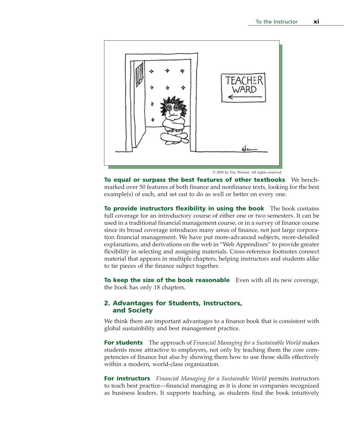

© 2005 by Eric Werner. All rights reserved.

**To equal or surpass the best features of other textbooks** We benchmarked over 50 features of both finance and nonfinance texts, looking for the best example(s) of each, and set out to do as well or better on every one.

**To provide instructors flexibility in using the book** The book contains full coverage for an introductory course of either one or two semesters. It can be used in a traditional financial management course, or in a survey of finance course since its broad coverage introduces many areas of finance, not just large corporation financial management. We have put more-advanced subjects, more-detailed explanations, and derivations on the web in "Web Appendixes" to provide greater flexibility in selecting and assigning materials. Cross-reference footnotes connect material that appears in multiple chapters, helping instructors and students alike to tie pieces of the finance subject together.

**To keep the size of the book reasonable** Even with all its new coverage, the book has only 18 chapters.

#### **2. Advantages for Students, Instructors, and Society**

We think there are important advantages to a finance book that is consistent with global sustainbility and best management practice.

**For students** The approach of *Financial Managing for a Sustainable World* makes students more attractive to employers, not only by teaching them the core competencies of finance but also by showing them how to use those skills effectively within a modern, world-class organization.

**For instructors** *Financial Managing for a Sustainable World* permits instructors to teach best practice—financial managing as it is done in companies recognized as business leaders. It supports teaching, as students find the book intuitively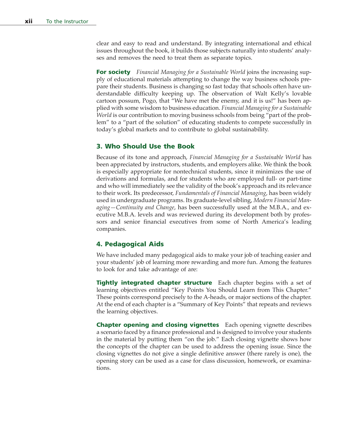clear and easy to read and understand. By integrating international and ethical issues throughout the book, it builds those subjects naturally into students' analyses and removes the need to treat them as separate topics.

**For society** *Financial Managing for a Sustainable World* joins the increasing supply of educational materials attempting to change the way business schools prepare their students. Business is changing so fast today that schools often have understandable difficulty keeping up. The observation of Walt Kelly's lovable cartoon possum, Pogo, that "We have met the enemy, and it is us!" has been applied with some wisdom to business education. *Financial Managing for a Sustainable World* is our contribution to moving business schools from being "part of the problem" to a "part of the solution" of educating students to compete successfully in today's global markets and to contribute to global sustainability.

#### **3. Who Should Use the Book**

Because of its tone and approach, *Financial Managing for a Sustainable World* has been appreciated by instructors, students, and employers alike. We think the book is especially appropriate for nontechnical students, since it minimizes the use of derivations and formulas, and for students who are employed full- or part-time and who will immediately see the validity of the book's approach and its relevance to their work. Its predecessor, *Fundamentals of Financial Managing*, has been widely used in undergraduate programs. Its graduate-level sibling, *Modern Financial Managing—Continuity and Change*, has been successfully used at the M.B.A., and executive M.B.A. levels and was reviewed during its development both by professors and senior financial executives from some of North America's leading companies.

#### **4. Pedagogical Aids**

We have included many pedagogical aids to make your job of teaching easier and your students' job of learning more rewarding and more fun. Among the features to look for and take advantage of are:

**Tightly integrated chapter structure** Each chapter begins with a set of learning objectives entitled "Key Points You Should Learn from This Chapter." These points correspond precisely to the A-heads, or major sections of the chapter. At the end of each chapter is a "Summary of Key Points" that repeats and reviews the learning objectives.

**Chapter opening and closing vignettes** Each opening vignette describes a scenario faced by a finance professional and is designed to involve your students in the material by putting them "on the job." Each closing vignette shows how the concepts of the chapter can be used to address the opening issue. Since the closing vignettes do not give a single definitive answer (there rarely is one), the opening story can be used as a case for class discussion, homework, or examinations.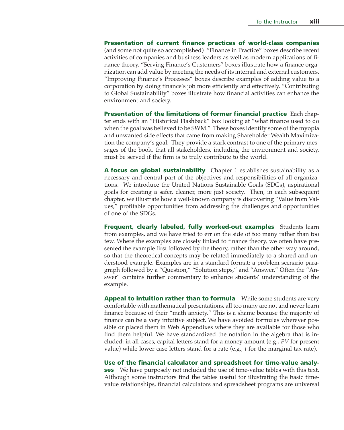**Presentation of current finance practices of world-class companies** (and some not quite so accomplished) "Finance in Practice" boxes describe recent activities of companies and business leaders as well as modern applications of finance theory. "Serving Finance's Customers" boxes illustrate how a finance organization can add value by meeting the needs of its internal and external customers. "Improving Finance's Processes" boxes describe examples of adding value to a corporation by doing finance's job more efficiently and effectively. "Contributing to Global Sustainability" boxes illustrate how financial activities can enhance the environment and society.

**Presentation of the limitations of former financial practice** Each chapter ends with an "Historical Flashback" box looking at "what finance used to do when the goal was believed to be SWM." These boxes identify some of the myopia and unwanted side effects that came from making Shareholder Wealth Maximization the company's goal. They provide a stark contrast to one of the primary messages of the book, that all stakeholders, including the environment and society, must be served if the firm is to truly contribute to the world.

**A focus on global sustainability** Chapter 1 establishes sustainability as a necessary and central part of the objectives and responsibilities of all organizations. We introduce the United Nations Sustainable Goals (SDGs), aspirational goals for creating a safer, cleaner, more just society. Then, in each subsequent chapter, we illustrate how a well-known company is discovering "Value from Values," profitable opportunities from addressing the challenges and opportunities of one of the SDGs.

**Frequent, clearly labeled, fully worked-out examples** Students learn from examples, and we have tried to err on the side of too many rather than too few. Where the examples are closely linked to finance theory, we often have presented the example first followed by the theory, rather than the other way around, so that the theoretical concepts may be related immediately to a shared and understood example. Examples are in a standard format: a problem scenario paragraph followed by a "Question," "Solution steps," and "Answer." Often the "Answer" contains further commentary to enhance students' understanding of the example.

**Appeal to intuition rather than to formula** While some students are very comfortable with mathematical presentations, all too many are not and never learn finance because of their "math anxiety." This is a shame because the majority of finance can be a very intuitive subject. We have avoided formulas wherever possible or placed them in Web Appendixes where they are available for those who find them helpful. We have standardized the notation in the algebra that is included: in all cases, capital letters stand for a money amount (e.g., *PV* for present value) while lower case letters stand for a rate (e.g., *t* for the marginal tax rate).

**Use of the financial calculator and spreadsheet for time-value analyses** We have purposely not included the use of time-value tables with this text. Although some instructors find the tables useful for illustrating the basic timevalue relationships, financial calculators and spreadsheet programs are universal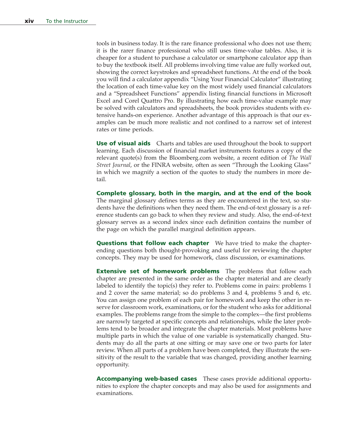tools in business today. It is the rare finance professional who does not use them; it is the rarer finance professional who still uses time-value tables. Also, it is cheaper for a student to purchase a calculator or smartphone calculator app than to buy the textbook itself. All problems involving time value are fully worked out, showing the correct keystrokes and spreadsheet functions. At the end of the book you will find a calculator appendix "Using Your Financial Calculator" illustrating the location of each time-value key on the most widely used financial calculators and a "Spreadsheet Functions" appendix listing financial functions in Microsoft Excel and Corel Quattro Pro. By illustrating how each time-value example may be solved with calculators and spreadsheets, the book provides students with extensive hands-on experience. Another advantage of this approach is that our examples can be much more realistic and not confined to a narrow set of interest rates or time periods.

**Use of visual aids** Charts and tables are used throughout the book to support learning. Each discussion of financial market instruments features a copy of the relevant quote(s) from the Bloomberg.com website, a recent edition of *The Wall Street Journal*, or the FINRA website, often as seen "Through the Looking Glass" in which we magnify a section of the quotes to study the numbers in more detail.

**Complete glossary, both in the margin, and at the end of the book** The marginal glossary defines terms as they are encountered in the text, so students have the definitions when they need them. The end-of-text glossary is a reference students can go back to when they review and study. Also, the end-of-text glossary serves as a second index since each definition contains the number of the page on which the parallel marginal definition appears.

**Questions that follow each chapter** We have tried to make the chapterending questions both thought-provoking and useful for reviewing the chapter concepts. They may be used for homework, class discussion, or examinations.

**Extensive set of homework problems** The problems that follow each chapter are presented in the same order as the chapter material and are clearly labeled to identify the topic(s) they refer to. Problems come in pairs: problems 1 and 2 cover the same material; so do problems 3 and 4, problems 5 and 6, etc. You can assign one problem of each pair for homework and keep the other in reserve for classroom work, examinations, or for the student who asks for additional examples. The problems range from the simple to the complex—the first problems are narrowly targeted at specific concepts and relationships, while the later problems tend to be broader and integrate the chapter materials. Most problems have multiple parts in which the value of one variable is systematically changed. Students may do all the parts at one sitting or may save one or two parts for later review. When all parts of a problem have been completed, they illustrate the sensitivity of the result to the variable that was changed, providing another learning opportunity.

**Accompanying web-based cases** These cases provide additional opportunities to explore the chapter concepts and may also be used for assignments and examinations.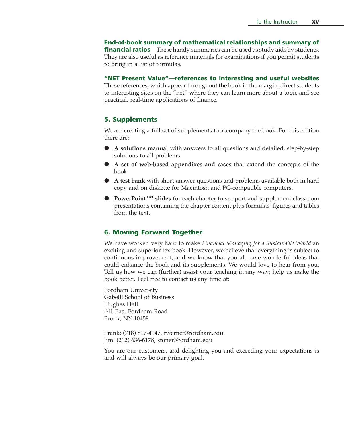**End-of-book summary of mathematical relationships and summary of financial ratios** These handy summaries can be used as study aids by students. They are also useful as reference materials for examinations if you permit students to bring in a list of formulas.

#### **"NET Present Value"—references to interesting and useful websites**

These references, which appear throughout the book in the margin, direct students to interesting sites on the "net" where they can learn more about a topic and see practical, real-time applications of finance.

#### **5. Supplements**

We are creating a full set of supplements to accompany the book. For this edition there are:

- **A solutions manual** with answers to all questions and detailed, step-by-step solutions to all problems.
- **A set of web-based appendixes and cases** that extend the concepts of the book.
- **A test bank** with short-answer questions and problems available both in hard copy and on diskette for Macintosh and PC-compatible computers.
- **PowerPointTM slides** for each chapter to support and supplement classroom presentations containing the chapter content plus formulas, figures and tables from the text.

#### **6. Moving Forward Together**

We have worked very hard to make *Financial Managing for a Sustainable World* an exciting and superior textbook. However, we believe that everything is subject to continuous improvement, and we know that you all have wonderful ideas that could enhance the book and its supplements. We would love to hear from you. Tell us how we can (further) assist your teaching in any way; help us make the book better. Feel free to contact us any time at:

Fordham University Gabelli School of Business Hughes Hall 441 East Fordham Road Bronx, NY 10458

Frank: (718) 817-4147, fwerner@fordham.edu Jim: (212) 636-6178, stoner@fordham.edu

You are our customers, and delighting you and exceeding your expectations is and will always be our primary goal.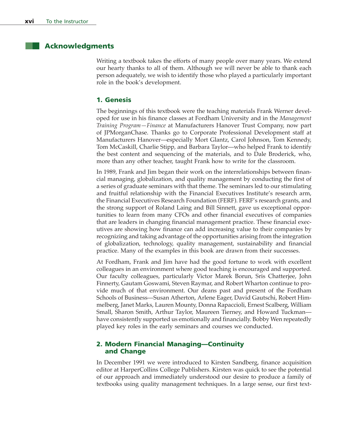$\overline{\phantom{0}}$ -

#### **Acknowledgments**

Writing a textbook takes the efforts of many people over many years. We extend our hearty thanks to all of them. Although we will never be able to thank each person adequately, we wish to identify those who played a particularly important role in the book's development.

#### **1. Genesis**

The beginnings of this textbook were the teaching materials Frank Werner developed for use in his finance classes at Fordham University and in the *Management Training Program—Finance* at Manufacturers Hanover Trust Company, now part of JPMorganChase. Thanks go to Corporate Professional Development staff at Manufacturers Hanover—especially Mort Glantz, Carol Johnson, Tom Kennedy, Tom McCaskill, Charlie Stipp, and Barbara Taylor—who helped Frank to identify the best content and sequencing of the materials, and to Dale Broderick, who, more than any other teacher, taught Frank how to write for the classroom.

In 1989, Frank and Jim began their work on the interrelationships between financial managing, globalization, and quality management by conducting the first of a series of graduate seminars with that theme. The seminars led to our stimulating and fruitful relationship with the Financial Executives Institute's research arm, the Financial Executives Research Foundation (FERF). FERF's research grants, and the strong support of Roland Laing and Bill Sinnett, gave us exceptional opportunities to learn from many CFOs and other financial executives of companies that are leaders in changing financial management practice. These financial executives are showing how finance can add increasing value to their companies by recognizing and taking advantage of the opportunities arising from the integration of globalization, technology, quality management, sustainability and financial practice. Many of the examples in this book are drawn from their successes.

At Fordham, Frank and Jim have had the good fortune to work with excellent colleagues in an environment where good teaching is encouraged and supported. Our faculty colleagues, particularly Victor Marek Borun, Sris Chatterjee, John Finnerty, Gautam Goswami, Steven Raymar, and Robert Wharton continue to provide much of that environment. Our deans past and present of the Fordham Schools of Business—Susan Atherton, Arlene Eager, David Gautschi, Robert Himmelberg, Janet Marks, Lauren Mounty, Donna Rapaccioli, Ernest Scalberg, William Small, Sharon Smith, Arthur Taylor, Maureen Tierney, and Howard Tuckman have consistently supported us emotionally and financially. Bobby Wen repeatedly played key roles in the early seminars and courses we conducted.

#### **2. Modern Financial Managing—Continuity and Change**

In December 1991 we were introduced to Kirsten Sandberg, finance acquisition editor at HarperCollins College Publishers. Kirsten was quick to see the potential of our approach and immediately understood our desire to produce a family of textbooks using quality management techniques. In a large sense, our first text-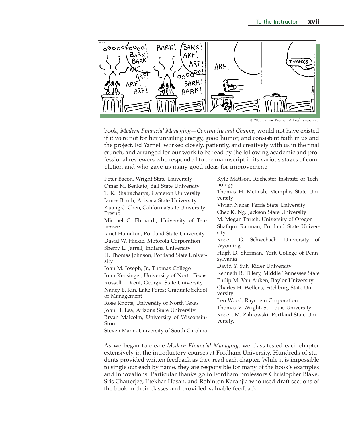

© 2005 by Eric Werner. All rights reserved.

book, *Modern Financial Managing—Continuity and Change*, would not have existed if it were not for her unfailing energy, good humor, and consistent faith in us and the project. Ed Yarnell worked closely, patiently, and creatively with us in the final crunch, and arranged for our work to be read by the following academic and professional reviewers who responded to the manuscript in its various stages of completion and who gave us many good ideas for improvement:

Peter Bacon, Wright State University Omar M. Benkato, Ball State University T. K. Bhattacharya, Cameron University James Booth, Arizona State University Kuang C. Chen, California State University-Fresno Michael C. Ehrhardt, University of Tennessee Janet Hamilton, Portland State University David W. Hickie, Motorola Corporation Sherry L. Jarrell, Indiana University H. Thomas Johnson, Portland State University John M. Joseph, Jr., Thomas College John Kensinger, University of North Texas Russell L. Kent, Georgia State University Nancy E. Kin, Lake Forest Graduate School

of Management Rose Knotts, University of North Texas John H. Lea, Arizona State University Bryan Malcolm, University of Wisconsin-Stout

Kyle Mattson, Rochester Institute of Technology Thomas H. McInish, Memphis State University Vivian Nazar, Ferris State University Chec K. Ng, Jackson State University M. Megan Partch, University of Oregon Shafiqur Rahman, Portland State University Robert G. Schwebach, University of Wyoming Hugh D. Sherman, York College of Pennsylvania David Y. Suk, Rider University Kenneth R. Tillery, Middle Tennessee State Philip M. Van Auken, Baylor University Charles H. Wellens, Fitchburg State University Len Wood, Raychem Corporation Thomas V. Wright, St. Louis University Robert M. Zahrowski, Portland State University.

Steven Mann, University of South Carolina

As we began to create *Modern Financial Managing*, we class-tested each chapter extensively in the introductory courses at Fordham University. Hundreds of students provided written feedback as they read each chapter. While it is impossible to single out each by name, they are responsible for many of the book's examples and innovations. Particular thanks go to Fordham professors Christopher Blake, Sris Chatterjee, Iftekhar Hasan, and Rohinton Karanjia who used draft sections of the book in their classes and provided valuable feedback.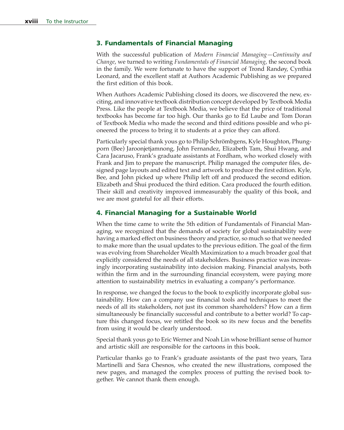#### **3. Fundamentals of Financial Managing**

With the successful publication of *Modern Financial Managing—Continuity and Change*, we turned to writing *Fundamentals of Financial Managing*, the second book in the family. We were fortunate to have the support of Trond Randøy, Cynthia Leonard, and the excellent staff at Authors Academic Publishing as we prepared the first edition of this book.

When Authors Academic Publishing closed its doors, we discovered the new, exciting, and innovative textbook distribution concept developed by Textbook Media Press. Like the people at Textbook Media, we believe that the price of traditional textbooks has become far too high. Our thanks go to Ed Laube and Tom Doran of Textbook Media who made the second and third editions possible and who pioneered the process to bring it to students at a price they can afford.

Particularly special thank yous go to Philip Schrömbgens, Kyle Houghton, Phungporn (Bee) Jaroonjetjamnong, John Fernandez, Elizabeth Tam, Shui Hwang, and Cara Jacaruso, Frank's graduate assistants at Fordham, who worked closely with Frank and Jim to prepare the manuscript. Philip managed the computer files, designed page layouts and edited text and artwork to produce the first edition. Kyle, Bee, and John picked up where Philip left off and produced the second edition. Elizabeth and Shui produced the third edition. Cara produced the fourth edition. Their skill and creativity improved immeasurably the quality of this book, and we are most grateful for all their efforts.

#### **4. Financial Managing for a Sustainable World**

When the time came to write the 5th edition of Fundamentals of Financial Managing, we recognized that the demands of society for global sustainability were having a marked effect on business theory and practice, so much so that we needed to make more than the usual updates to the previous edition. The goal of the firm was evolving from Shareholder Wealth Maximization to a much broader goal that explicitly considered the needs of all stakeholders. Business practice was increasingly incorporating sustainability into decision making. Financial analysts, both within the firm and in the surrounding financial ecosystem, were paying more attention to sustainability metrics in evaluating a company's performance.

In response, we changed the focus to the book to explicitly incorporate global sustainability. How can a company use financial tools and techniques to meet the needs of all its stakeholders, not just its common shareholders? How can a firm simultaneously be financially successful and contribute to a better world? To capture this changed focus, we retitled the book so its new focus and the benefits from using it would be clearly understood.

Special thank yous go to Eric Werner and Noah Lin whose brilliant sense of humor and artistic skill are responsible for the cartoons in this book.

Particular thanks go to Frank's graduate assistants of the past two years, Tara Martinelli and Sara Chesnos, who created the new illustrations, composed the new pages, and managed the complex process of putting the revised book together. We cannot thank them enough.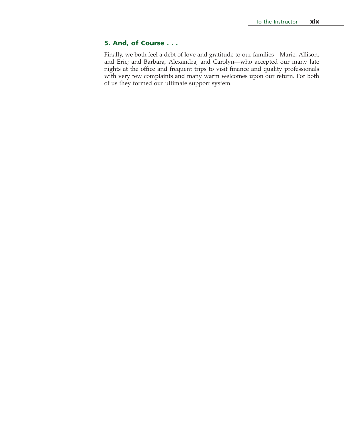#### **5. And, of Course . . .**

Finally, we both feel a debt of love and gratitude to our families—Marie, Allison, and Eric; and Barbara, Alexandra, and Carolyn—who accepted our many late nights at the office and frequent trips to visit finance and quality professionals with very few complaints and many warm welcomes upon our return. For both of us they formed our ultimate support system.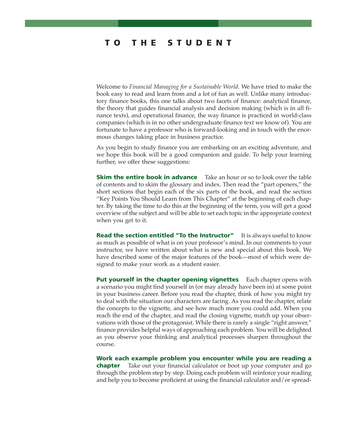#### **T O T H E S T U D E N T**

Welcome to *Financial Managing for a Sustainable World.* We have tried to make the book easy to read and learn from and a lot of fun as well. Unlike many introductory finance books, this one talks about two facets of finance: analytical finance, the theory that guides financial analysis and decision making (which is in all finance texts), and operational finance, the way finance is practiced in world-class companies (which is in no other undergraduate finance text we know of). You are fortunate to have a professor who is forward-looking and in touch with the enormous changes taking place in business practice.

As you begin to study finance you are embarking on an exciting adventure, and we hope this book will be a good companion and guide. To help your learning further, we offer these suggestions:

**Skim the entire book in advance** Take an hour or so to look over the table of contents and to skim the glossary and index. Then read the "part openers," the short sections that begin each of the six parts of the book, and read the section "Key Points You Should Learn from This Chapter" at the beginning of each chapter. By taking the time to do this at the beginning of the term, you will get a good overview of the subject and will be able to set each topic in the appropriate context when you get to it.

**Read the section entitled "To the Instructor"** It is always useful to know as much as possible of what is on your professor's mind. In our comments to your instructor, we have written about what is new and special about this book. We have described some of the major features of the book—most of which were designed to make your work as a student easier.

**Put yourself in the chapter opening vignettes** Each chapter opens with a scenario you might find yourself in (or may already have been in) at some point in your business career. Before you read the chapter, think of how you might try to deal with the situation our characters are facing. As you read the chapter, relate the concepts to the vignette, and see how much more you could add. When you reach the end of the chapter, and read the closing vignette, match up your observations with those of the protagonist. While there is rarely a single "right answer," finance provides helpful ways of approaching each problem. You will be delighted as you observe your thinking and analytical processes sharpen throughout the course.

**Work each example problem you encounter while you are reading a chapter** Take out your financial calculator or boot up your computer and go through the problem step by step. Doing each problem will reinforce your reading and help you to become proficient at using the financial calculator and/or spread-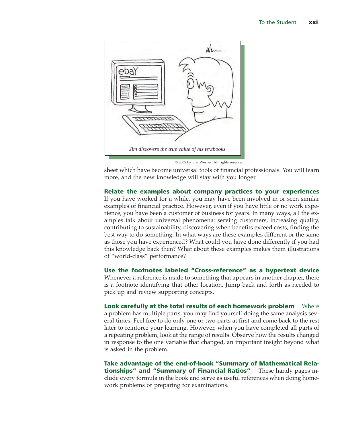

© 2005 by Eric Werner. All rights reserved.

sheet which have become universal tools of financial professionals. You will learn more, and the new knowledge will stay with you longer.

#### **Relate the examples about company practices to your experiences**

If you have worked for a while, you may have been involved in or seen similar examples of financial practice. However, even if you have little or no work experience, you have been a customer of business for years. In many ways, all the examples talk about universal phenomena: serving customers, increasing quality, contributing to sustainability, discovering when benefits exceed costs, finding the best way to do something. In what ways are these examples different or the same as those you have experienced? What could you have done differently if you had this knowledge back then? What about these examples makes them illustrations of "world-class" performance?

#### **Use the footnotes labeled "Cross-reference" as a hypertext device**

Whenever a reference is made to something that appears in another chapter, there is a footnote identifying that other location. Jump back and forth as needed to pick up and review supporting concepts.

**Look carefully at the total results of each homework problem** Where a problem has multiple parts, you may find yourself doing the same analysis several times. Feel free to do only one or two parts at first and come back to the rest later to reinforce your learning. However, when you have completed all parts of a repeating problem, look at the range of results. Observe how the results changed in response to the one variable that changed, an important insight beyond what is asked in the problem.

**Take advantage of the end-of-book "Summary of Mathematical Relationships" and "Summary of Financial Ratios"** These handy pages include every formula in the book and serve as useful references when doing homework problems or preparing for examinations.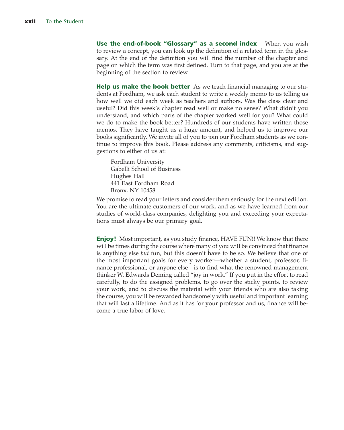**Use the end-of-book "Glossary" as a second index** When you wish to review a concept, you can look up the definition of a related term in the glossary. At the end of the definition you will find the number of the chapter and page on which the term was first defined. Turn to that page, and you are at the beginning of the section to review.

**Help us make the book better** As we teach financial managing to our students at Fordham, we ask each student to write a weekly memo to us telling us how well we did each week as teachers and authors. Was the class clear and useful? Did this week's chapter read well or make no sense? What didn't you understand, and which parts of the chapter worked well for you? What could we do to make the book better? Hundreds of our students have written those memos. They have taught us a huge amount, and helped us to improve our books significantly. We invite all of you to join our Fordham students as we continue to improve this book. Please address any comments, criticisms, and suggestions to either of us at:

Fordham University Gabelli School of Business Hughes Hall 441 East Fordham Road Bronx, NY 10458

We promise to read your letters and consider them seriously for the next edition. You are the ultimate customers of our work, and as we have learned from our studies of world-class companies, delighting you and exceeding your expectations must always be our primary goal.

**Enjoy!** Most important, as you study finance, HAVE FUN!! We know that there will be times during the course where many of you will be convinced that finance is anything else *but* fun, but this doesn't have to be so. We believe that one of the most important goals for every worker—whether a student, professor, finance professional, or anyone else—is to find what the renowned management thinker W. Edwards Deming called "joy in work." If you put in the effort to read carefully, to do the assigned problems, to go over the sticky points, to review your work, and to discuss the material with your friends who are also taking the course, you will be rewarded handsomely with useful and important learning that will last a lifetime. And as it has for your professor and us, finance will become a true labor of love.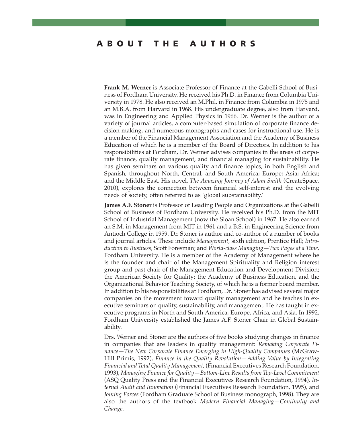#### **A B O U T T H E A U T H O R S**

**Frank M. Werner** is Associate Professor of Finance at the Gabelli School of Business of Fordham University. He received his Ph.D. in Finance from Columbia University in 1978. He also received an M.Phil. in Finance from Columbia in 1975 and an M.B.A. from Harvard in 1968. His undergraduate degree, also from Harvard, was in Engineering and Applied Physics in 1966. Dr. Werner is the author of a variety of journal articles, a computer-based simulation of corporate finance decision making, and numerous monographs and cases for instructional use. He is a member of the Financial Management Association and the Academy of Business Education of which he is a member of the Board of Directors. In addition to his responsibilities at Fordham, Dr. Werner advises companies in the areas of corporate finance, quality management, and financial managing for sustainability. He has given seminars on various quality and finance topics, in both English and Spanish, throughout North, Central, and South America; Europe; Asia; Africa; and the Middle East. His novel, *The Amazing Journey of Adam Smith* (CreateSpace, 2010), explores the connection between financial self-interest and the evolving needs of society, often referred to as 'global substainability.'

**James A.F. Stoner** is Professor of Leading People and Organizations at the Gabelli School of Business of Fordham University. He received his Ph.D. from the MIT School of Industrial Management (now the Sloan School) in 1967. He also earned an S.M. in Management from MIT in 1961 and a B.S. in Engineering Science from Antioch College in 1959. Dr. Stoner is author and co-author of a number of books and journal articles. These include *Management,* sixth edition, Prentice Hall; *Introduction to Business,* Scott Foresman; and *World-class Managing—Two Pages at a Time,* Fordham University. He is a member of the Academy of Management where he is the founder and chair of the Management Spirituality and Religion interest group and past chair of the Management Education and Development Division; the American Society for Quality; the Academy of Business Education, and the Organizational Behavior Teaching Society, of which he is a former board member. In addition to his responsibilities at Fordham, Dr. Stoner has advised several major companies on the movement toward quality management and he teaches in executive seminars on quality, sustainability, and management. He has taught in executive programs in North and South America, Europe, Africa, and Asia. In 1992, Fordham University established the James A.F. Stoner Chair in Global Sustainability.

Drs. Werner and Stoner are the authors of five books studying changes in finance in companies that are leaders in quality management: *Remaking Corporate Finance—The New Corporate Finance Emerging in High-Quality Companies* (McGraw-Hill Primis, 1992), *Finance in the Quality Revolution—Adding Value by Integrating Financial and Total Quality Management,* (Financial Executives Research Foundation, 1993), *Managing Finance for Quality—Bottom-Line Results from Top-Level Commitment* (ASQ Quality Press and the Financial Executives Research Foundation, 1994), *Internal Audit and Innovation* (Financial Executives Research Foundation, 1995), and *Joining Forces* (Fordham Graduate School of Business monograph, 1998). They are also the authors of the textbook *Modern Financial Managing—Continuity and Change*.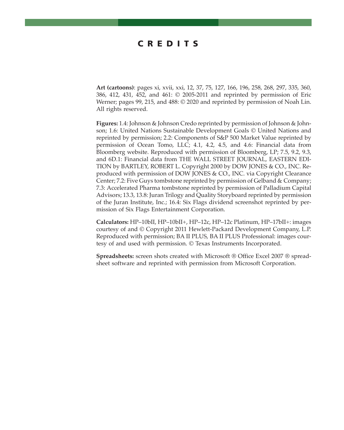### **C R E D I T S**

**Art (cartoons)**: pages xi, xvii, xxi, 12, 37, 75, 127, 166, 196, 258, 268, 297, 335, 360, 386, 412, 431, 452, and 461: © 2005-2011 and reprinted by permission of Eric Werner; pages 99, 215, and 488: © 2020 and reprinted by permission of Noah Lin. All rights reserved.

**Figures:** 1.4: Johnson & Johnson Credo reprinted by permission of Johnson & Johnson; 1.6: United Nations Sustainable Development Goals © United Nations and reprinted by permission; 2.2: Components of S&P 500 Market Value reprinted by permission of Ocean Tomo, LLC; 4.1, 4.2, 4.5, and 4.6: Financial data from Bloomberg website. Reproduced with permission of Bloomberg, LP; 7.5, 9.2, 9.3, and 6D.1: Financial data from THE WALL STREET JOURNAL, EASTERN EDI-TION by BARTLEY, ROBERT L. Copyright 2000 by DOW JONES & CO., INC. Reproduced with permission of DOW JONES & CO., INC. via Copyright Clearance Center; 7.2: Five Guys tombstone reprinted by permission of Gelband & Company; 7.3: Accelerated Pharma tombstone reprinted by permission of Palladium Capital Advisors; 13.3, 13.8: Juran Trilogy and Quality Storyboard reprinted by permission of the Juran Institute, Inc.; 16.4: Six Flags dividend screenshot reprinted by permission of Six Flags Entertainment Corporation.

**Calculators:** HP –10bII, HP –10bII+, HP–12c, HP–12c Platinum, HP–17bII+: images courtesy of and © Copyright 2011 Hewlett-Packard Development Company, L.P. Reproduced with permission; BA II PLUS, BA II PLUS Professional: images courtesy of and used with permission. © Texas Instruments Incorporated.

**Spreadsheets:** screen shots created with Microsoft ® Office Excel 2007 ® spreadsheet software and reprinted with permission from Microsoft Corporation.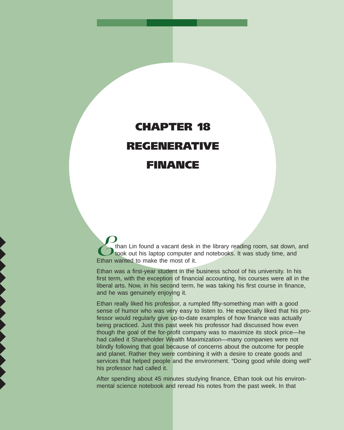# **CHAPTER 18 REGENERATIVE FINANCE**

**b**than Lin found a vacant desk in the library reading room, sat down, and took out his laptop computer and notebooks. It was study time, and Ethan wanted to make the most of it.

Ethan was a first-year student in the business school of his university. In his first term, with the exception of financial accounting, his courses were all in the liberal arts. Now, in his second term, he was taking his first course in finance, and he was genuinely enjoying it.

Ethan really liked his professor, a rumpled fifty-something man with a good sense of humor who was very easy to listen to. He especially liked that his professor would regularly give up-to-date examples of how finance was actually being practiced. Just this past week his professor had discussed how even though the goal of the for-profit company was to maximize its stock price—he had called it Shareholder Wealth Maximization—many companies were not blindly following that goal because of concerns about the outcome for people and planet. Rather they were combining it with a desire to create goods and services that helped people and the environment. "Doing good while doing well" his professor had called it.

After spending about 45 minutes studying finance, Ethan took out his environmental science notebook and reread his notes from the past week. In that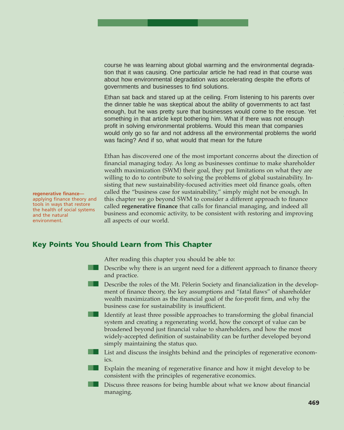course he was learning about global warming and the environmental degradation that it was causing. One particular article he had read in that course was about how environmental degradation was accelerating despite the efforts of governments and businesses to find solutions.

Ethan sat back and stared up at the ceiling. From listening to his parents over the dinner table he was skeptical about the ability of governments to act fast enough, but he was pretty sure that businesses would come to the rescue. Yet something in that article kept bothering him. What if there was not enough profit in solving environmental problems. Would this mean that companies would only go so far and not address all the environmental problems the world was facing? And if so, what would that mean for the future

Ethan has discovered one of the most important concerns about the direction of financial managing today. As long as businesses continue to make shareholder wealth maximization (SWM) their goal, they put limitations on what they are willing to do to contribute to solving the problems of global sustainability. Insisting that new sustainability-focused activities meet old finance goals, often called the "business case for sustainability," simply might not be enough. In this chapter we go beyond SWM to consider a different approach to finance called **regenerative finance** that calls for financial managing, and indeed all business and economic activity, to be consistent with restoring and improving all aspects of our world.

**regenerative finance** applying finance theory and tools in ways that restore the health of social systems and the natural environment.

#### **Key Points You Should Learn from This Chapter**

After reading this chapter you should be able to:

- **Describe why there is an urgent need for a different approach to finance theory** and practice.
- **Describe the roles of the Mt. Pèlerin Society and financialization in the develop**ment of finance theory, the key assumptions and "fatal flaws" of shareholder wealth maximization as the financial goal of the for-profit firm, and why the business case for sustainability is insufficient.

I Identify at least three possible approaches to transforming the global financial system and creating a regenerating world, how the concept of value can be broadened beyond just financial value to shareholders, and how the most widely-accepted definition of sustainability can be further developed beyond simply maintaining the status quo.

**List and discuss the insights behind and the principles of regenerative econom**ics.

**EXPLA** Explain the meaning of regenerative finance and how it might develop to be consistent with the principles of regenerative economics.

 Discuss three reasons for being humble about what we know about financial managing.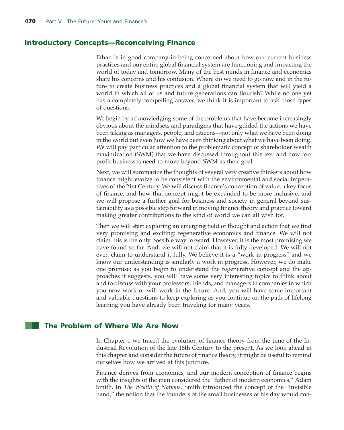#### **Introductory Concepts—Reconceiving Finance**

Ethan is in good company in being concerned about how our current business practices and our entire global financial system are functioning and impacting the world of today and tomorrow. Many of the best minds in finance and economics share his concerns and his confusion. Where do we need to go now and in the future to create business practices and a global financial system that will yield a world in which all of us and future generations can flourish? While no one yet has a completely compelling answer, we think it is important to ask those types of questions.

We begin by acknowledging some of the problems that have become increasingly obvious about the mindsets and paradigms that have guided the actions we have been taking as managers, people, and citizens—not only what we have been doing in the world but even how we have been thinking about what we have been doing. We will pay particular attention to the problematic concept of shareholder wealth maximization (SWM) that we have discussed throughout this text and how forprofit businesses need to move beyond SWM as their goal.

Next, we will summarize the thoughts of several very creative thinkers about how finance might evolve to be consistent with the environmental and social imperatives of the 21st Century. We will discuss finance's conception of value, a key focus of finance, and how that concept might be expanded to be more inclusive, and we will propose a further goal for business and society in general beyond sustainability as a possible step forward in moving finance theory and practice toward making greater contributions to the kind of world we can all wish for.

Then we will start exploring an emerging field of thought and action that we find very promising and exciting: regenerative economics and finance. We will not claim this is the only possible way forward. However, it is the most promising we have found so far. And, we will not claim that it is fully developed. We will not even claim to understand it fully. We believe it is a "work in progress" and we know our understanding is similarly a work in progress. However, we do make one promise: as you begin to understand the regenerative concept and the approaches it suggests, you will have some very interesting topics to think about and to discuss with your professors, friends, and managers in companies in which you now work or will work in the future. And, you will have some important and valuable questions to keep exploring as you continue on the path of lifelong learning you have already been traveling for many years.

#### **The Problem of Where We Are Now**

In Chapter 1 we traced the evolution of finance theory from the time of the Industrial Revolution of the late 18th Century to the present. As we look ahead in this chapter and consider the future of finance theory, it might be useful to remind ourselves how we arrived at this juncture.

Finance derives from economics, and our modern conception of finance begins with the insights of the man considered the "father of modern economics," Adam Smith. In *The Wealth of Nations*. Smith introduced the concept of the "invisible hand," the notion that the founders of the small businesses of his day would con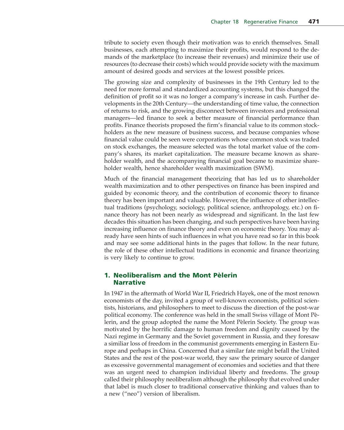tribute to society even though their motivation was to enrich themselves. Small businesses, each attempting to maximize their profits, would respond to the demands of the marketplace (to increase their revenues) and minimize their use of resources (to decrease their costs) which would provide society with the maximum amount of desired goods and services at the lowest possible prices.

The growing size and complexity of businesses in the 19th Century led to the need for more formal and standardized accounting systems, but this changed the definition of profit so it was no longer a company's increase in cash. Further developments in the 20th Century—the understanding of time value, the connection of returns to risk, and the growing disconnect between investors and professional managers—led finance to seek a better measure of financial performance than profits. Finance theorists proposed the firm's financial value to its common stockholders as the new measure of business success, and because companies whose financial value could be seen were corporations whose common stock was traded on stock exchanges, the measure selected was the total market value of the company's shares, its market capitalization. The measure became known as shareholder wealth, and the accompanying financial goal became to maximize shareholder wealth, hence shareholder wealth maximization (SWM).

Much of the financial management theorizing that has led us to shareholder wealth maximization and to other perspectives on finance has been inspired and guided by economic theory, and the contribution of economic theory to finance theory has been important and valuable. However, the influence of other intellectual traditions (psychology, sociology, political science, anthropology, etc.) on finance theory has not been nearly as widespread and significant. In the last few decades this situation has been changing, and such perspectives have been having increasing influence on finance theory and even on economic theory. You may already have seen hints of such influences in what you have read so far in this book and may see some additional hints in the pages that follow. In the near future, the role of these other intellectual traditions in economic and finance theorizing is very likely to continue to grow.

#### **1. Neoliberalism and the Mont Pèlerin Narrative**

In 1947 in the aftermath of World War II, Friedrich Hayek, one of the most renown economists of the day, invited a group of well-known economists, political scientists, historians, and philosophers to meet to discuss the direction of the post-war political economy. The conference was held in the small Swiss village of Mont Pèlerin, and the group adopted the name the Mont Pèlerin Society. The group was motivated by the horrific damage to human freedom and dignity caused by the Nazi regime in Germany and the Soviet government in Russia, and they foresaw a similiar loss of freedom in the communist governments emerging in Eastern Europe and perhaps in China. Concerned that a similar fate might befall the United States and the rest of the post-war world, they saw the primary source of danger as excessive governmental management of economies and societies and that there was an urgent need to champion individual liberty and freedoms. The group called their philosophy neoliberalism although the philosophy that evolved under that label is much closer to traditional conservative thinking and values than to a new ("neo") version of liberalism.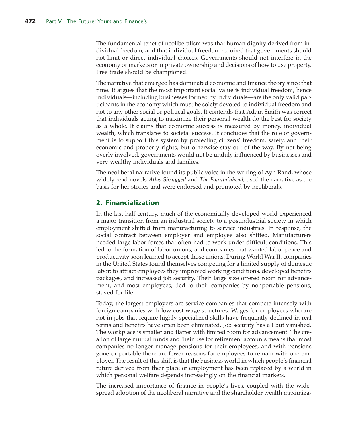The fundamental tenet of neoliberalism was that human dignity derived from individual freedom, and that individual freedom required that governments should not limit or direct individual choices. Governments should not interfere in the economy or markets or in private ownership and decisions of how to use property. Free trade should be championed.

The narrative that emerged has dominated economic and finance theory since that time. It argues that the most important social value is individual freedom, hence individuals—including businesses formed by individuals—are the only valid participants in the economy which must be solely devoted to individual freedom and not to any other social or political goals. It contends that Adam Smith was correct that individuals acting to maximize their personal wealth do the best for society as a whole. It claims that economic success is measured by money, individual wealth, which translates to societal success. It concludes that the role of government is to support this system by protecting citizens' freedom, safety, and their economic and property rights, but otherwise stay out of the way. By not being overly involved, governments would not be unduly influenced by businesses and very wealthy individuals and families.

The neoliberal narrative found its public voice in the writing of Ayn Rand, whose widely read novels *Atlas Shrugged* and *The Fountainhead*, used the narrative as the basis for her stories and were endorsed and promoted by neoliberals.

#### **2. Financialization**

In the last half-century, much of the economically developed world experienced a major transition from an industrial society to a postindustrial society in which employment shifted from manufacturing to service industries. In response, the social contract between employer and employee also shifted. Manufacturers needed large labor forces that often had to work under difficult conditions. This led to the formation of labor unions, and companies that wanted labor peace and productivity soon learned to accept those unions. During World War II, companies in the United States found themselves competing for a limited supply of domestic labor; to attract employees they improved working conditions, developed benefits packages, and increased job security. Their large size offered room for advancement, and most employees, tied to their companies by nonportable pensions, stayed for life.

Today, the largest employers are service companies that compete intensely with foreign companies with low-cost wage structures. Wages for employees who are not in jobs that require highly specialized skills have frequently declined in real terms and benefits have often been eliminated. Job security has all but vanished. The workplace is smaller and flatter with limited room for advancement. The creation of large mutual funds and their use for retirement accounts means that most companies no longer manage pensions for their employees, and with pensions gone or portable there are fewer reasons for employees to remain with one employer. The result of this shift is that the business world in which people's financial future derived from their place of employment has been replaced by a world in which personal welfare depends increasingly on the financial markets.

The increased importance of finance in people's lives, coupled with the widespread adoption of the neoliberal narrative and the shareholder wealth maximiza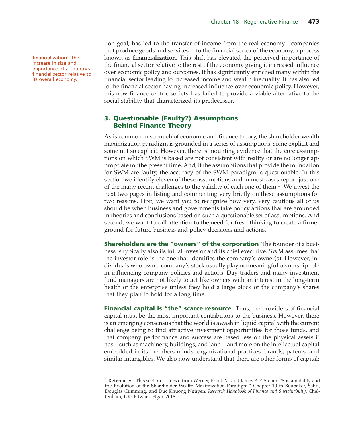**financialization—**the increase in size and importance of a country's financial sector relative to its overall economy.

tion goal, has led to the transfer of income from the real economy—companies that produce goods and services— to the financial sector of the economy, a process known as **financialization**. This shift has elevated the perceived importance of the financial sector relative to the rest of the economy giving it increased influence over economic policy and outcomes. It has significantly enriched many within the financial sector leading to increased income and wealth inequality. It has also led to the financial sector having increased influence over economic policy. However, this new finance-centric society has failed to provide a viable alternative to the social stability that characterized its predecessor.

#### **3. Questionable (Faulty?) Assumptions Behind Finance Theory**

As is common in so much of economic and finance theory, the shareholder wealth maximization paradigm is grounded in a series of assumptions, some explicit and some not so explicit. However, there is mounting evidence that the core assumptions on which SWM is based are not consistent with reality or are no longer appropriate for the present time. And, if the assumptions that provide the foundation for SWM are faulty, the accuracy of the SWM paradigm is questionable. In this section we identify eleven of these assumptions and in most cases report just one of the many recent challenges to the validity of each one of them.1 We invest the next two pages in listing and commenting very briefly on these assumptions for two reasons. First, we want you to recognize how very, very cautious all of us should be when business and governments take policy actions that are grounded in theories and conclusions based on such a questionable set of assumptions. And second, we want to call attention to the need for fresh thinking to create a firmer ground for future business and policy decisions and actions.

**Shareholders are the "owners" of the corporation** The founder of a business is typically also its initial investor and its chief executive. SWM assumes that the investor role is the one that identifies the company's owner(s). However, individuals who own a company's stock usually play no meaningful ownership role in influencing company policies and actions. Day traders and many investment fund managers are not likely to act like owners with an interest in the long-term health of the enterprise unless they hold a large block of the company's shares that they plan to hold for a long time.

**Financial capital is "the" scarce resource** Thus, the providers of financial capital must be the most important contributors to the business. However, there is an emerging consensus that the world is awash in liquid capital with the current challenge being to find attractive investment opportunities for those funds, and that company performance and success are based less on the physical assets it has—such as machinery, buildings, and land—and more on the intellectual capital embedded in its members minds, organizational practices, brands, patents, and similar intangibles. We also now understand that there are other forms of capital:

<sup>1</sup> **Reference:** This section is drawn from Werner, Frank M. and James A.F. Stoner, "Sustainability and the Evolution of the Shareholder Wealth Maximization Paradigm," Chapter 10 in Boubaker, Sabri, Douglas Cumming, and Duc Khuong Nguyen, *Research Handbook of Finance and Sustainability*. Cheltenham, UK: Edward Elgar, 2018.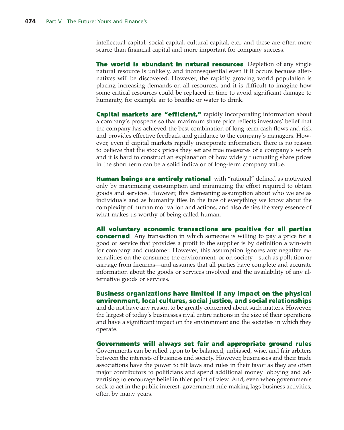intellectual capital, social capital, cultural capital, etc., and these are often more scarce than financial capital and more important for company success.

**The world is abundant in natural resources** Depletion of any single natural resource is unlikely, and inconsequential even if it occurs because alternatives will be discovered. However, the rapidly growing world population is placing increasing demands on all resources, and it is difficult to imagine how some critical resources could be replaced in time to avoid significant damage to humanity, for example air to breathe or water to drink.

**Capital markets are "efficient,"** rapidly incorporating information about a company's prospects so that maximum share price reflects investors' belief that the company has achieved the best combination of long-term cash flows and risk and provides effective feedback and guidance to the company's managers. However, even if capital markets rapidly incorporate information, there is no reason to believe that the stock prices they set are true measures of a company's worth and it is hard to construct an explanation of how widely fluctuating share prices in the short term can be a solid indicator of long-term company value.

**Human beings are entirely rational** with "rational" defined as motivated only by maximizing consumption and minimizing the effort required to obtain goods and services. However, this demeaning assumption about who we are as individuals and as humanity flies in the face of everything we know about the complexity of human motivation and actions, and also denies the very essence of what makes us worthy of being called human.

**All voluntary economic transactions are positive for all parties concerned** Any transaction in which someone is willing to pay a price for a good or service that provides a profit to the supplier is by definition a win-win for company and customer. However, this assumption ignores any negative externalities on the consumer, the environment, or on society—such as pollution or carnage from firearms—and assumes that all parties have complete and accurate information about the goods or services involved and the availability of any alternative goods or services.

#### **Business organizations have limited if any impact on the physical environment, local cultures, social justice, and social relationships**

and do not have any reason to be greatly concerned about such matters. However, the largest of today's businesses rival entire nations in the size of their operations and have a significant impact on the environment and the societies in which they operate.

#### **Governments will always set fair and appropriate ground rules**

Governments can be relied upon to be balanced, unbiased, wise, and fair arbiters between the interests of business and society. However, businesses and their trade associations have the power to tilt laws and rules in their favor as they are often major contributors to politicians and spend additional money lobbying and advertising to encourage belief in thier point of view. And, even when governments seek to act in the public interest, government rule-making lags business activities, often by many years.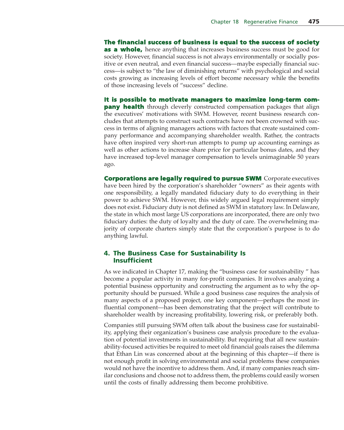**The financial success of business is equal to the success of society as a whole,** hence anything that increases business success must be good for society. However, financial success is not always environmentally or socially positive or even neutral, and even financial success—maybe especially financial success—is subject to "the law of diminishing returns" with psychological and social costs growing as increasing levels of effort become necessary while the benefits of those increasing levels of "success" decline.

**It is possible to motivate managers to maximize long-term company health** through cleverly constructed compensation packages that align the executives' motivations with SWM. However, recent business research concludes that attempts to construct such contracts have not been crowned with success in terms of aligning managers actions with factors that create sustained company performance and accompanying shareholder wealth. Rather, the contracts have often inspired very short-run attempts to pump up accounting earnings as well as other actions to increase share price for particular bonus dates, and they have increased top-level manager compensation to levels unimaginable 50 years ago.

**Corporations are legally required to pursue SWM** Corporate executives have been hired by the corporation's shareholder "owners" as their agents with one responsibility, a legally mandated fiduciary duty to do everything in their power to achieve SWM. However, this widely argued legal requirement simply does not exist. Fiduciary duty is not defined as SWM in statutory law. In Delaware, the state in which most large US corporations are incorporated, there are only two fiduciary duties: the duty of loyalty and the duty of care. The overwhelming majority of corporate charters simply state that the corporation's purpose is to do anything lawful.

#### **4. The Business Case for Sustainability Is Insufficient**

As we indicated in Chapter 17, making the "business case for sustainability " has become a popular activity in many for-profit companies. It involves analyzing a potential business opportunity and constructing the argument as to why the opportunity should be pursued. While a good business case requires the analysis of many aspects of a proposed project, one key component—perhaps the most influential component—has been demonstrating that the project will contribute to shareholder wealth by increasing profitability, lowering risk, or preferably both.

Companies still pursuing SWM often talk about the business case for sustainability, applying their organization's business case analysis procedure to the evaluation of potential investments in sustainability. But requiring that all new sustainability-focused activities be required to meet old financial goals raises the dilemma that Ethan Lin was concerned about at the beginning of this chapter—if there is not enough profit in solving environmental and social problems these companies would not have the incentive to address them. And, if many companies reach similar conclusions and choose not to address them, the problems could easily worsen until the costs of finally addressing them become prohibitive.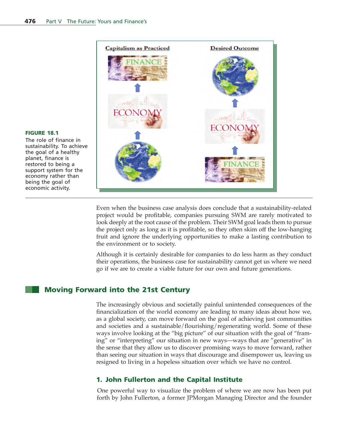

#### Even when the business case analysis does conclude that a sustainability-related project would be profitable, companies pursuing SWM are rarely motivated to look deeply at the root cause of the problem. Their SWM goal leads them to pursue the project only as long as it is profitable, so they often skim off the low-hanging fruit and ignore the underlying opportunities to make a lasting contribution to the environment or to society.

Although it is certainly desirable for companies to do less harm as they conduct their operations, the business case for sustainability cannot get us where we need go if we are to create a viable future for our own and future generations.

#### **Moving Forward into the 21st Century**

The increasingly obvious and societally painful unintended consequences of the financialization of the world economy are leading to many ideas about how we, as a global society, can move forward on the goal of achieving just communities and societies and a sustainable/flourishing/regenerating world. Some of these ways involve looking at the "big picture" of our situation with the goal of "framing" or "interpreting" our situation in new ways—ways that are "generative" in the sense that they allow us to discover promising ways to move forward, rather than seeing our situation in ways that discourage and disempower us, leaving us resigned to living in a hopeless situation over which we have no control.

#### **1. John Fullerton and the Capital Institute**

One powerful way to visualize the problem of where we are now has been put forth by John Fullerton, a former JPMorgan Managing Director and the founder

#### **FIGURE 18.1**

The role of finance in sustainability. To achieve the goal of a healthy planet, finance is restored to being a support system for the economy rather than being the goal of economic activity.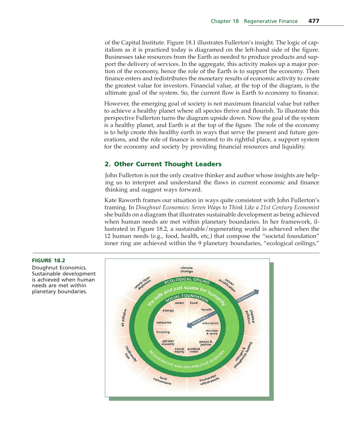of the Capital Institute. Figure 18.1 illustrates Fullerton's insight. The logic of capitalism as it is practiced today is diagramed on the left-hand side of the figure. Businesses take resources from the Earth as needed to produce products and support the delivery of services. In the aggregate, this activity makes up a major portion of the economy, hence the role of the Earth is to support the economy. Then finance enters and redistributes the monetary results of economic activity to create the greatest value for investors. Financial value, at the top of the diagram, is the ultimate goal of the system. So, the current flow is Earth to economy to finance.

However, the emerging goal of society is not maximum financial value but rather to achieve a healthy planet where all species thrive and flourish. To illustrate this perspective Fullerton turns the diagram upside down. Now the goal of the system is a healthy planet, and Earth is at the top of the figure. The role of the economy is to help create this healthy earth in ways that serve the present and future generations, and the role of finance is restored to its rightful place, a support system for the economy and society by providing financial resources and liquidity.

#### **2. Other Current Thought Leaders**

John Fullerton is not the only creative thinker and author whose insights are helping us to interpret and understand the flaws in current economic and finance thinking and suggest ways forward.

Kate Raworth frames our situation in ways quite consistent with John Fullerton's framing. In *Doughnut Economics: Seven Ways to Think Like a 21st Century Economist* she builds on a diagram that illustrates sustainable development as being achieved when human needs are met within planetary boundaries. In her framework, illustrated in Figure 18.2, a sustainable/regenerating world is achieved when the 12 human needs (e.g., food, health, etc,) that compose the "societal foundation" inner ring are achieved within the 9 planetary boundaries, "ecological ceilings,"



#### **FIGURE 18.2**

Doughnut Economics. Sustainable development is achieved when human needs are met within planetary boundaries.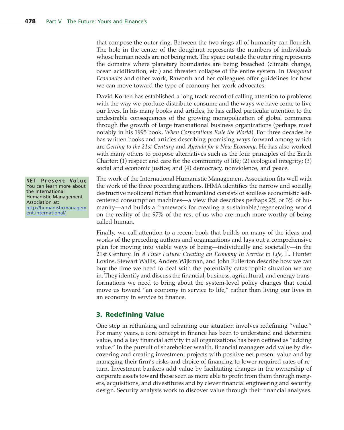that compose the outer ring. Between the two rings all of humanity can flourish. The hole in the center of the doughnut represents the numbers of individuals whose human needs are not being met. The space outside the outer ring represents the domains where planetary boundaries are being breached (climate change, ocean acidification, etc.) and threaten collapse of the entire system. In *Doughnut Economics* and other work, Raworth and her colleagues offer guidelines for how we can move toward the type of economy her work advocates.

David Korten has established a long track record of calling attention to problems with the way we produce-distribute-consume and the ways we have come to live our lives. In his many books and articles, he has called particular attention to the undesirable consequences of the growing monopolization of global commerce through the growth of large transnational business organizations (perhaps most notably in his 1995 book, *When Corporations Rule the World*). For three decades he has written books and articles describing promising ways forward among which are *Getting to the 21st Century* and *Agenda for a New Economy*. He has also worked with many others to propose alternatives such as the four principles of the Earth Charter: (1) respect and care for the community of life; (2) ecological integrity; (3) social and economic justice; and (4) democracy, nonviolence, and peace.

The work of the International Humanistic Management Association fits well with the work of the three preceding authors. IHMA identifies the narrow and socially destructive neoliberal fiction that humankind consists of soulless economistic selfcentered consumption machines—a view that describes perhaps 2% or 3% of humanity—and builds a framework for creating a sustainable/regenerating world on the reality of the 97% of the rest of us who are much more worthy of being called human.

Finally, we call attention to a recent book that builds on many of the ideas and works of the preceding authors and organizations and lays out a comprehensive plan for moving into viable ways of being—individually and societally—in the 21st Century. In *A Finer Future: Creating an Economy In Service to Life*, L. Hunter Lovins, Stewart Wallis, Anders Wijkman, and John Fullerton describe how we can buy the time we need to deal with the potentially catastrophic situation we are in. They identify and discuss the financial, business, agricultural, and energy transformations we need to bring about the system-level policy changes that could move us toward "an economy in service to life," rather than living our lives in an economy in service to finance.

#### **3. Redefining Value**

One step in rethinking and reframing our situation involves redefining "value." For many years, a core concept in finance has been to understand and determine value, and a key financial activity in all organizations has been defined as "adding value." In the pursuit of shareholder wealth, financial managers add value by discovering and creating investment projects with positive net present value and by managing their firm's risks and choice of financing to lower required rates of return. Investment bankers add value by facilitating changes in the ownership of corporate assets toward those seen as more able to profit from them through mergers, acquisitions, and divestitures and by clever financial engineering and security design. Security analysts work to discover value through their financial analyses.

NET Present Value You can learn more about the International Humanistic Management Association at: http://humanisticmanagem ent.international/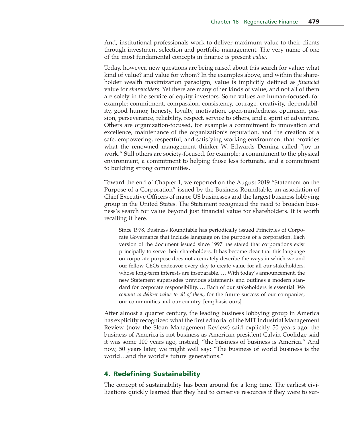And, institutional professionals work to deliver maximum value to their clients through investment selection and portfolio management. The very name of one of the most fundamental concepts in finance is present *value*.

Today, however, new questions are being raised about this search for value: what kind of value? and value for whom? In the examples above, and within the shareholder wealth maximization paradigm, value is implicitly defined as *financial* value for *shareholders*. Yet there are many other kinds of value, and not all of them are solely in the service of equity investors. Some values are human-focused, for example: commitment, compassion, consistency, courage, creativity, dependability, good humor, honesty, loyalty, motivation, open-mindedness, optimism, passion, perseverance, reliability, respect, service to others, and a spirit of adventure. Others are organization-focused, for example a commitment to innovation and excellence, maintenance of the organization's reputation, and the creation of a safe, empowering, respectful, and satisfying working environment that provides what the renowned management thinker W. Edwards Deming called "joy in work." Still others are society-focused, for example: a commitment to the physical environment, a commitment to helping those less fortunate, and a commitment to building strong communities.

Toward the end of Chapter 1, we reported on the August 2019 "Statement on the Purpose of a Corporation" issued by the Business Roundtable, an association of Chief Executive Officers of major US businesses and the largest business lobbying group in the United States. The Statement recognized the need to broaden business's search for value beyond just financial value for shareholders. It is worth recalling it here.

Since 1978, Business Roundtable has periodically issued Principles of Corporate Governance that include language on the purpose of a corporation. Each version of the document issued since 1997 has stated that corporations exist principally to serve their shareholders. It has become clear that this language on corporate purpose does not accurately describe the ways in which we and our fellow CEOs endeavor every day to create value for all our stakeholders, whose long-term interests are inseparable. … With today's announcement, the new Statement supersedes previous statements and outlines a modern standard for corporate responsibility. … Each of our stakeholders is essential. We *commit to deliver value to all of them*, for the future success of our companies, our communities and our country. [emphasis ours]

After almost a quarter century, the leading business lobbying group in America has explicitly recognized what the first editorial of the MIT Industrial Management Review (now the Sloan Management Review) said explicitly 50 years ago: the business of America is not business as American president Calvin Coolidge said it was some 100 years ago, instead, "the business of business is America." And now, 50 years later, we might well say: "The business of world business is the world…and the world's future generations."

#### **4. Redefining Sustainability**

The concept of sustainability has been around for a long time. The earliest civilizations quickly learned that they had to conserve resources if they were to sur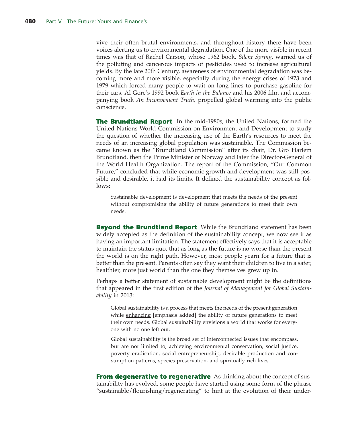vive their often brutal environments, and throughout history there have been voices alerting us to environmental degradation. One of the more visible in recent times was that of Rachel Carson, whose 1962 book, *Silent Spring*, warned us of the polluting and cancerous impacts of pesticides used to increase agricultural yields. By the late 20th Century, awareness of environmental degradation was becoming more and more visible, especially during the energy crises of 1973 and 1979 which forced many people to wait on long lines to purchase gasoline for their cars. Al Gore's 1992 book *Earth in the Balance* and his 2006 film and accompanying book *An Inconvenient Truth*, propelled global warming into the public conscience.

**The Brundtland Report** In the mid-1980s, the United Nations, formed the United Nations World Commission on Environment and Development to study the question of whether the increasing use of the Earth's resources to meet the needs of an increasing global population was sustainable. The Commission became known as the "Brundtland Commission" after its chair, Dr. Gro Harlem Brundtland, then the Prime Minister of Norway and later the Director-General of the World Health Organization. The report of the Commission, "Our Common Future," concluded that while economic growth and development was still possible and desirable, it had its limits. It defined the sustainability concept as follows:

 Sustainable development is development that meets the needs of the present without compromising the ability of future generations to meet their own needs.

**Beyond the Brundtland Report** While the Brundtland statement has been widely accepted as the definition of the sustainability concept, we now see it as having an important limitation. The statement effectively says that it is acceptable to maintain the status quo, that as long as the future is no worse than the present the world is on the right path. However, most people yearn for a future that is better than the present. Parents often say they want their children to live in a safer, healthier, more just world than the one they themselves grew up in.

Perhaps a better statement of sustainable development might be the definitions that appeared in the first edition of the *Journal of Management for Global Sustainability* in 2013:

 Global sustainability is a process that meets the needs of the present generation while enhancing [emphasis added] the ability of future generations to meet their own needs. Global sustainability envisions a world that works for everyone with no one left out.

 Global sustainability is the broad set of interconnected issues that encompass, but are not limited to, achieving environmental conservation, social justice, poverty eradication, social entrepreneurship, desirable production and consumption patterns, species preservation, and spiritually rich lives.

**From degenerative to regenerative** As thinking about the concept of sustainability has evolved, some people have started using some form of the phrase "sustainable/flourishing/regenerating" to hint at the evolution of their under-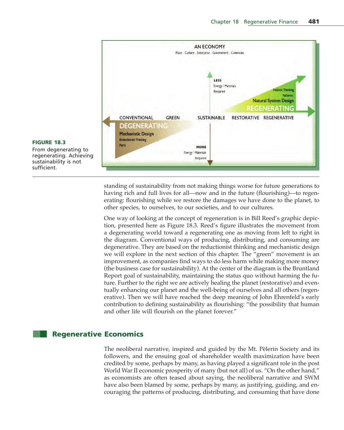

#### **FIGURE 18.3**

From degenerating to regenerating. Achieving sustainability is not sufficient.

> standing of sustainability from not making things worse for future generations to having rich and full lives for all—now and in the future (flourishing)—to regenerating: flourishing while we restore the damages we have done to the planet, to other species, to ourselves, to our societies, and to our cultures.

> One way of looking at the concept of regeneration is in Bill Reed's graphic depiction, presented here as Figure 18.3. Reed's figure illustrates the movement from a degenerating world toward a regenerating one as moving from left to right in the diagram. Conventional ways of producing, distributing, and consuming are degenerative. They are based on the reductionist thinking and mechanistic design we will explore in the next section of this chapter. The "green" movement is an improvement, as companies find ways to do less harm while making more money (the business case for sustainability). At the center of the diagram is the Bruntland Report goal of sustainability, maintaining the status quo without harming the future. Further to the right we are actively healing the planet (restorative) and eventually enhancing our planet and the well-being of ourselves and all others (regenerative). Then we will have reached the deep meaning of John Ehrenfeld's early contribution to defining sustainability as flourishing: "the possibility that human and other life will flourish on the planet forever."

#### **Regenerative Economics**

The neoliberal narrative, inspired and guided by the Mt. Pèlerin Society and its followers, and the ensuing goal of shareholder wealth maximization have been credited by some, perhaps by many, as having played a significant role in the post World War II economic prosperity of many (but not all) of us. "On the other hand," as economists are often teased about saying, the neoliberal narrative and SWM have also been blamed by some, perhaps by many, as justifying, guiding, and encouraging the patterns of producing, distributing, and consuming that have done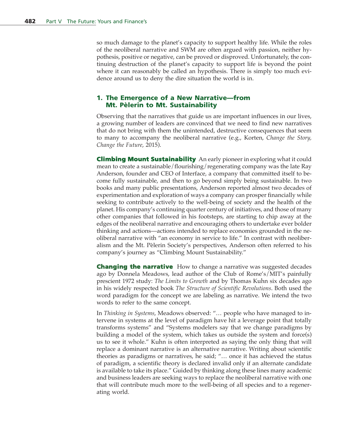so much damage to the planet's capacity to support healthy life. While the roles of the neoliberal narrative and SWM are often argued with passion, neither hypothesis, positive or negative, can be proved or disproved. Unfortunately, the continuing destruction of the planet's capacity to support life is beyond the point where it can reasonably be called an hypothesis. There is simply too much evidence around us to deny the dire situation the world is in.

#### **1. The Emergence of a New Narrative—from Mt. Pèlerin to Mt. Sustainability**

Observing that the narratives that guide us are important influences in our lives, a growing number of leaders are convinced that we need to find new narratives that do not bring with them the unintended, destructive consequences that seem to many to accompany the neoliberal narrative (e.g., Korten, *Change the Story, Change the Future*, 2015).

**Climbing Mount Sustainability** An early pioneer in exploring what it could mean to create a sustainable/flourishing/regenerating company was the late Ray Anderson, founder and CEO of Interface, a company that committed itself to become fully sustainable, and then to go beyond simply being sustainable. In two books and many public presentations, Anderson reported almost two decades of experimentation and exploration of ways a company can prosper financially while seeking to contribute actively to the well-being of society and the health of the planet. His company's continuing quarter century of initiatives, and those of many other companies that followed in his footsteps, are starting to chip away at the edges of the neoliberal narrative and encouraging others to undertake ever bolder thinking and actions—actions intended to replace economies grounded in the neoliberal narrative with "an economy in service to life." In contrast with neoliberalism and the Mt. Pèlerin Society's perspectives, Anderson often referred to his company's journey as "Climbing Mount Sustainability."

**Changing the narrative** How to change a narrative was suggested decades ago by Donnela Meadows, lead author of the Club of Rome's/MIT's painfully prescient 1972 study: *The Limits to Growth* and by Thomas Kuhn six decades ago in his widely respected book *The Structure of Scientific Revolutions*. Both used the word paradigm for the concept we are labeling as narrative. We intend the two words to refer to the same concept.

In *Thinking in Systems*, Meadows observed: "… people who have managed to intervene in systems at the level of paradigm have hit a leverage point that totally transforms systems" and "Systems modelers say that we change paradigms by building a model of the system, which takes us outside the system and force(s) us to see it whole." Kuhn is often interpreted as saying the only thing that will replace a dominant narrative is an alternative narrative. Writing about scientific theories as paradigms or narratives, he said; "… once it has achieved the status of paradigm, a scientific theory is declared invalid only if an alternate candidate is available to take its place." Guided by thinking along these lines many academic and business leaders are seeking ways to replace the neoliberal narrative with one that will contribute much more to the well-being of all species and to a regenerating world.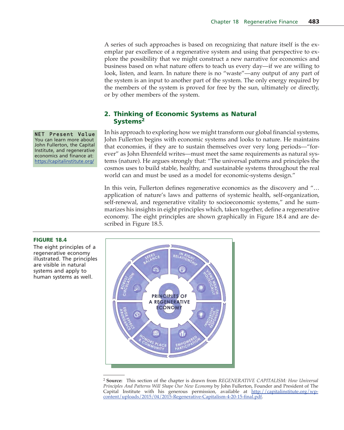A series of such approaches is based on recognizing that nature itself is the exemplar par excellence of a regenerative system and using that perspective to explore the possibility that we might construct a new narrative for economics and business based on what nature offers to teach us every day—if we are willing to look, listen, and learn. In nature there is no "waste"—any output of any part of the system is an input to another part of the system. The only energy required by the members of the system is proved for free by the sun, ultimately or directly, or by other members of the system.

#### **2. Thinking of Economic Systems as Natural Systems2**

In his approach to exploring how we might transform our global financial systems, John Fullerton begins with economic systems and looks to nature. He maintains that economies, if they are to sustain themselves over very long periods—"forever" as John Ehrenfeld writes—must meet the same requirements as natural systems (nature). He argues strongly that: "The universal patterns and principles the cosmos uses to build stable, healthy, and sustainable systems throughout the real world can and must be used as a model for economic-systems design."

In this vein, Fullerton defines regenerative economics as the discovery and "… application of nature's laws and patterns of systemic health, self-organization, self-renewal, and regenerative vitality to socioeconomic systems," and he summarizes his insights in eight principles which, taken together, define a regenerative economy. The eight principles are shown graphically in Figure 18.4 and are described in Figure 18.5.



<sup>2</sup> **Source:** This section of the chapter is drawn from *REGENERATIVE CAPITALISM: How Universal Principles And Patterns Will Shape Our New Economy* by John Fullerton, Founder and President of The Capital Institute with his generous permission, available at http://capitalinstitute.org/wpcontent/uploads/2015/04/2015-Regenerative-Capitalism-4-20-15-final.pdf.

NET Present Value You can learn more about John Fullerton, the Capital Institute, and regenerative economics and finance at: https://capitalinstitute.org/

#### **FIGURE 18.4**

The eight principles of a regenerative economy illustrated. The principles are visible in natural systems and apply to human systems as well.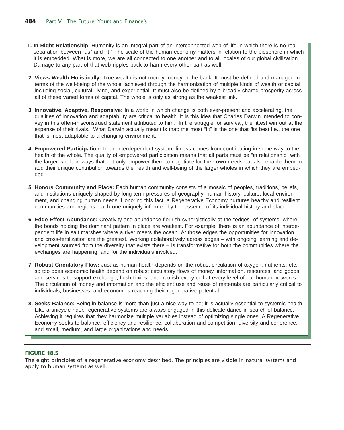- **1. In Right Relationship**: Humanity is an integral part of an interconnected web of life in which there is no real separation between "us" and "it." The scale of the human economy matters in relation to the biosphere in which it is embedded. What is more, we are all connected to one another and to all locales of our global civilization. Damage to any part of that web ripples back to harm every other part as well.
- **2. Views Wealth Holistically:** True wealth is not merely money in the bank. It must be defined and managed in terms of the well-being of the whole, achieved through the harmonization of multiple kinds of wealth or capital, including social, cultural, living, and experiential. It must also be defined by a broadly shared prosperity across all of these varied forms of capital. The whole is only as strong as the weakest link.
- **3. Innovative, Adaptive, Responsive:** In a world in which change is both ever-present and accelerating, the qualities of innovation and adaptability are critical to health. It is this idea that Charles Darwin intended to convey in this often-misconstrued statement attributed to him: "In the struggle for survival, the fittest win out at the expense of their rivals." What Darwin actually meant is that: the most "fit" is the one that fits best i.e., the one that is most adaptable to a changing environment.
- **4. Empowered Participation:** In an interdependent system, fitness comes from contributing in some way to the health of the whole. The quality of empowered participation means that all parts must be "in relationship" with the larger whole in ways that not only empower them to negotiate for their own needs but also enable them to add their unique contribution towards the health and well-being of the larger wholes in which they are embedded.
- **5. Honors Community and Place:** Each human community consists of a mosaic of peoples, traditions, beliefs, and institutions uniquely shaped by long-term pressures of geography, human history, culture, local environment, and changing human needs. Honoring this fact, a Regenerative Economy nurtures healthy and resilient communities and regions, each one uniquely informed by the essence of its individual history and place.
- **6. Edge Effect Abundance:** Creativity and abundance flourish synergistically at the "edges" of systems, where the bonds holding the dominant pattern in place are weakest. For example, there is an abundance of interdependent life in salt marshes where a river meets the ocean. At those edges the opportunities for innovation and cross-fertilization are the greatest. Working collaboratively across edges – with ongoing learning and development sourced from the diversity that exists there – is transformative for both the communities where the exchanges are happening, and for the individuals involved.
- **7. Robust Circulatory Flow:** Just as human health depends on the robust circulation of oxygen, nutrients, etc., so too does economic health depend on robust circulatory flows of money, information, resources, and goods and services to support exchange, flush toxins, and nourish every cell at every level of our human networks. The circulation of money and information and the efficient use and reuse of materials are particularly critical to individuals, businesses, and economies reaching their regenerative potential.
- **8. Seeks Balance:** Being in balance is more than just a nice way to be; it is actually essential to systemic health. Like a unicycle rider, regenerative systems are always engaged in this delicate dance in search of balance. Achieving it requires that they harmonize multiple variables instead of optimizing single ones. A Regenerative Economy seeks to balance: efficiency and resilience; collaboration and competition; diversity and coherence; and small, medium, and large organizations and needs.

#### **FIGURE 18.5**

The eight principles of a regenerative economy described. The principles are visible in natural systems and apply to human systems as well.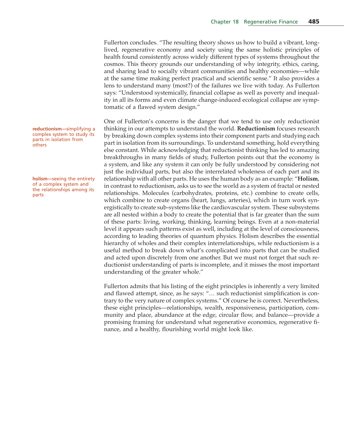Fullerton concludes. "The resulting theory shows us how to build a vibrant, longlived, regenerative economy and society using the same holistic principles of health found consistently across widely different types of systems throughout the cosmos. This theory grounds our understanding of why integrity, ethics, caring, and sharing lead to socially vibrant communities and healthy economies—while at the same time making perfect practical and scientific sense." It also provides a lens to understand many (most?) of the failures we live with today. As Fullerton says: "Understood systemically, financial collapse as well as poverty and inequality in all its forms and even climate change-induced ecological collapse are symptomatic of a flawed system design."

One of Fullerton's concerns is the danger that we tend to use only reductionist thinking in our attempts to understand the world. **Reductionism** focuses research by breaking down complex systems into their component parts and studying each part in isolation from its surroundings. To understand something, hold everything else constant. While acknowledging that reductionist thinking has led to amazing breakthroughs in many fields of study, Fullerton points out that the economy is a system, and like any system it can only be fully understood by considering not just the individual parts, but also the interrelated wholeness of each part and its relationship with all other parts. He uses the human body as an example: "**Holism**, in contrast to reductionism, asks us to see the world as a system of fractal or nested relationships. Molecules (carbohydrates, proteins, etc.) combine to create cells, which combine to create organs (heart, lungs, arteries), which in turn work synergistically to create sub-systems like the cardiovascular system. These subsystems are all nested within a body to create the potential that is far greater than the sum of these parts: living, working, thinking, learning beings. Even at a non-material level it appears such patterns exist as well, including at the level of consciousness, according to leading theories of quantum physics. Holism describes the essential hierarchy of wholes and their complex interrelationships, while reductionism is a useful method to break down what's complicated into parts that can be studied and acted upon discretely from one another. But we must not forget that such reductionist understanding of parts is incomplete, and it misses the most important understanding of the greater whole."

Fullerton admits that his listing of the eight principles is inherently a very limited and flawed attempt, since, as he says: "… such reductionist simplification is contrary to the very nature of complex systems." Of course he is correct. Nevertheless, these eight principles—relationships, wealth, responsiveness, participation, community and place, abundance at the edge, circular flow, and balance—provide a promising framing for understand what regenerative economics, regenerative finance, and a healthy, flourishing world might look like.

**reductionism—**simplifying a complex system to study its parts in isolation from others

**holism—**seeing the entirety of a complex system and the relationships among its parts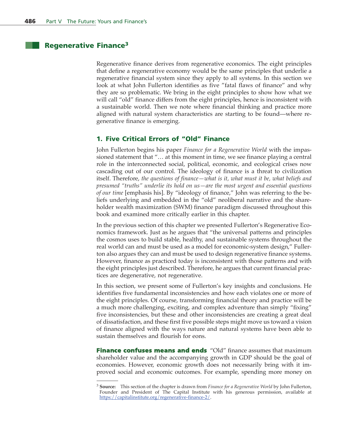#### **Regenerative Finance3**

Regenerative finance derives from regenerative economics. The eight principles that define a regenerative economy would be the same principles that underlie a regenerative financial system since they apply to all systems. In this section we look at what John Fullerton identifies as five "fatal flaws of finance" and why they are so problematic. We bring in the eight principles to show how what we will call "old" finance differs from the eight principles, hence is inconsistent with a sustainable world. Then we note where financial thinking and practice more aligned with natural system characteristics are starting to be found—where regenerative finance is emerging.

#### **1. Five Critical Errors of "Old" Finance**

John Fullerton begins his paper *Finance for a Regenerative World* with the impassioned statement that "… at this moment in time, we see finance playing a central role in the interconnected social, political, economic, and ecological crises now cascading out of our control. The ideology of finance is a threat to civilization itself. Therefore, *the questions of finance—what is it, what must it be, what beliefs and presumed "truths" underlie its hold on us—are the most urgent and essential questions of our time* [emphasis his]. By "ideology of finance," John was referring to the beliefs underlying and embedded in the "old" neoliberal narrative and the shareholder wealth maximization (SWM) finance paradigm discussed throughout this book and examined more critically earlier in this chapter.

In the previous section of this chapter we presented Fullerton's Regenerative Economics framework. Just as he argues that "the universal patterns and principles the cosmos uses to build stable, healthy, and sustainable systems throughout the real world can and must be used as a model for economic-system design," Fullerton also argues they can and must be used to design regenerative finance systems. However, finance as practiced today is inconsistent with those patterns and with the eight principles just described. Therefore, he argues that current financial practices are degenerative, not regenerative.

In this section, we present some of Fullerton's key insights and conclusions. He identifies five fundamental inconsistencies and how each violates one or more of the eight principles. Of course, transforming financial theory and practice will be a much more challenging, exciting, and complex adventure than simply "fixing" five inconsistencies, but these and other inconsistencies are creating a great deal of dissatisfaction, and these first five possible steps might move us toward a vision of finance aligned with the ways nature and natural systems have been able to sustain themselves and flourish for eons.

**Finance confuses means and ends** "Old" finance assumes that maximum shareholder value and the accompanying growth in GDP should be the goal of economies. However, economic growth does not necessarily bring with it improved social and economic outcomes. For example, spending more money on

<sup>3</sup> **Source:** This section of the chapter is drawn from *Finance for a Regenerative World* by John Fullerton, Founder and President of The Capital Institute with his generous permission, available at https://capitalinstitute.org/regenerative-finance-2/.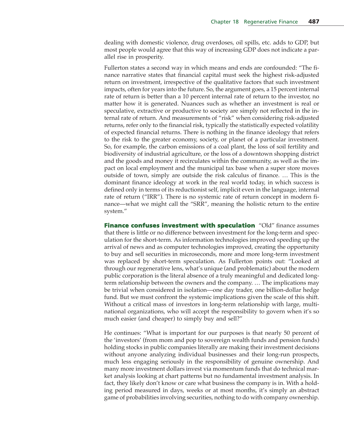dealing with domestic violence, drug overdoses, oil spills, etc. adds to GDP, but most people would agree that this way of increasing GDP does not indicate a parallel rise in prosperity.

Fullerton states a second way in which means and ends are confounded: "The finance narrative states that financial capital must seek the highest risk-adjusted return on investment, irrespective of the qualitative factors that such investment impacts, often for years into the future. So, the argument goes, a 15 percent internal rate of return is better than a 10 percent internal rate of return to the investor, no matter how it is generated. Nuances such as whether an investment is real or speculative, extractive or productive to society are simply not reflected in the internal rate of return. And measurements of "risk" when considering risk-adjusted returns, refer only to the financial risk, typically the statistically expected volatility of expected financial returns. There is nothing in the finance ideology that refers to the risk to the greater economy, society, or planet of a particular investment. So, for example, the carbon emissions of a coal plant, the loss of soil fertility and biodiversity of industrial agriculture, or the loss of a downtown shopping district and the goods and money it recirculates within the community, as well as the impact on local employment and the municipal tax base when a super store moves outside of town, simply are outside the risk calculus of finance. … This is the dominant finance ideology at work in the real world today, in which success is defined only in terms of its reductionist self, implicit even in the language, internal rate of return ("IRR"). There is no systemic rate of return concept in modern finance—what we might call the "SRR", meaning the holistic return to the entire system."

**Finance confuses investment with speculation** "Old" finance assumes that there is little or no difference between investment for the long-term and speculation for the short-term. As information technologies improved speeding up the arrival of news and as computer technologies improved, creating the opportunity to buy and sell securities in microseconds, more and more long-term investment was replaced by short-term speculation. As Fullerton points out: "Looked at through our regenerative lens, what's unique (and problematic) about the modern public corporation is the literal absence of a truly meaningful and dedicated longterm relationship between the owners and the company. … The implications may be trivial when considered in isolation—one day trader, one billion-dollar hedge fund. But we must confront the systemic implications given the scale of this shift. Without a critical mass of investors in long-term relationship with large, multinational organizations, who will accept the responsibility to govern when it's so much easier (and cheaper) to simply buy and sell?"

He continues: "What is important for our purposes is that nearly 50 percent of the 'investors' (from mom and pop to sovereign wealth funds and pension funds) holding stocks in public companies literally are making their investment decisions without anyone analyzing individual businesses and their long-run prospects, much less engaging seriously in the responsibility of genuine ownership. And many more investment dollars invest via momentum funds that do technical market analysis looking at chart patterns but no fundamental investment analysis. In fact, they likely don't know or care what business the company is in. With a holding period measured in days, weeks or at most months, it's simply an abstract game of probabilities involving securities, nothing to do with company ownership.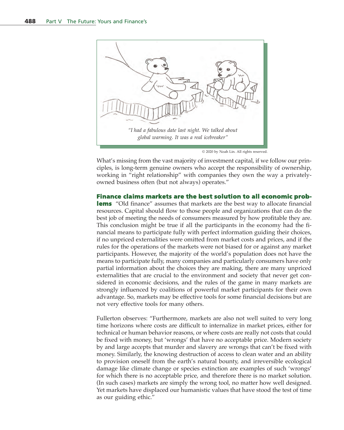

© 2020 by Noah Lin. All rights reserved.

What's missing from the vast majority of investment capital, if we follow our principles, is long-term genuine owners who accept the responsibility of ownership, working in "right relationship" with companies they own the way a privatelyowned business often (but not always) operates."

#### **Finance claims markets are the best solution to all economic prob-**

**lems** "Old finance" assumes that markets are the best way to allocate financial resources. Capital should flow to those people and organizations that can do the best job of meeting the needs of consumers measured by how profitable they are. This conclusion might be true if all the participants in the economy had the financial means to participate fully with perfect information guiding their choices, if no unpriced externalities were omitted from market costs and prices, and if the rules for the operations of the markets were not biased for or against any market participants. However, the majority of the world's population does not have the means to participate fully, many companies and particularly consumers have only partial information about the choices they are making, there are many unpriced externalities that are crucial to the environment and society that never get considered in economic decisions, and the rules of the game in many markets are strongly influenced by coalitions of powerful market participants for their own advantage. So, markets may be effective tools for some financial decisions but are not very effective tools for many others.

Fullerton observes: "Furthermore, markets are also not well suited to very long time horizons where costs are difficult to internalize in market prices, either for technical or human behavior reasons, or where costs are really not costs that could be fixed with money, but 'wrongs' that have no acceptable price. Modern society by and large accepts that murder and slavery are wrongs that can't be fixed with money. Similarly, the knowing destruction of access to clean water and an ability to provision oneself from the earth's natural bounty, and irreversible ecological damage like climate change or species extinction are examples of such 'wrongs' for which there is no acceptable price, and therefore there is no market solution. (In such cases) markets are simply the wrong tool, no matter how well designed. Yet markets have displaced our humanistic values that have stood the test of time as our guiding ethic."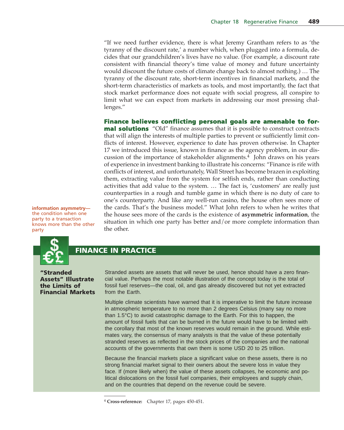"If we need further evidence, there is what Jeremy Grantham refers to as 'the tyranny of the discount rate,' a number which, when plugged into a formula, decides that our grandchildren's lives have no value. (For example, a discount rate consistent with financial theory's time value of money and future uncertainty would discount the future costs of climate change back to almost nothing.) … The tyranny of the discount rate, short-term incentives in financial markets, and the short-term characteristics of markets as tools, and most importantly, the fact that stock market performance does not equate with social progress, all conspire to limit what we can expect from markets in addressing our most pressing challenges."

**Finance believes conflicting personal goals are amenable to formal solutions** "Old" finance assumes that it is possible to construct contracts that will align the interests of multiple parties to prevent or sufficiently limit conflicts of interest. However, experience to date has proven otherwise. In Chapter 17 we introduced this issue, known in finance as the agency problem, in our discussion of the importance of stakeholder alignments.<sup>4</sup> John draws on his years of experience in investment banking to illustrate his concerns: "Finance is rife with conflicts of interest, and unfortunately, Wall Street has become brazen in exploiting them, extracting value from the system for selfish ends, rather than conducting activities that add value to the system. … The fact is, 'customers' are really just counterparties in a rough and tumble game in which there is no duty of care to one's counterparty. And like any well-run casino, the house often sees more of the cards. That's the business model." What John refers to when he writes that the house sees more of the cards is the existence of **asymmetric information**, the situation in which one party has better and/or more complete information than the other.

**information asymmetry** the condition when one party to a transaction knows more than the other party



**FINANCE IN PRACTICE**

**"Stranded Assets" Illustrate the Limits of Financial Markets**

Stranded assets are assets that will never be used, hence should have a zero financial value. Perhaps the most notable illustration of the concept today is the total of fossil fuel reserves—the coal, oil, and gas already discovered but not yet extracted from the Earth.

Multiple climate scientists have warned that it is imperative to limit the future increase in atmospheric temperature to no more than 2 degrees Celsius (many say no more than 1.5°C) to avoid catastrophic damage to the Earth. For this to happen, the amount of fossil fuels that can be burned in the future would have to be limited with the corollary that most of the known reserves would remain in the ground. While estimates vary, the consensus of many analysts is that the value of these potentially stranded reserves as reflected in the stock prices of the companies and the national accounts of the governments that own them is some USD 20 to 25 trillion.

Because the financial markets place a significant value on these assets, there is no strong financial market signal to their owners about the severe loss in value they face. If (more likely when) the value of these assets collapses, he economic and political dislocations on the fossil fuel companies, their employees and supply chain, and on the countries that depend on the revenue could be severe.

<sup>4</sup> **Cross-reference:** Chapter 17, pages 450-451.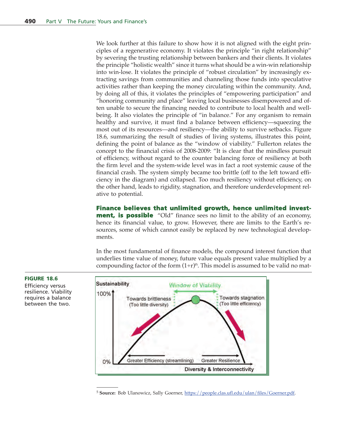We look further at this failure to show how it is not aligned with the eight principles of a regenerative economy. It violates the principle "in right relationship" by severing the trusting relationship between bankers and their clients. It violates the principle "holistic wealth" since it turns what should be a win-win relationship into win-lose. It violates the principle of "robust circulation" by increasingly extracting savings from communities and channeling those funds into speculative activities rather than keeping the money circulating within the community. And, by doing all of this, it violates the principles of "empowering participation" and "honoring community and place" leaving local businesses disempowered and often unable to secure the financing needed to contribute to local health and wellbeing. It also violates the principle of "in balance." For any organism to remain healthy and survive, it must find a balance between efficiency—squeezing the most out of its resources—and resiliency—the ability to survive setbacks. Figure 18.6, summarizing the result of studies of living systems, illustrates this point, defining the point of balance as the "window of viability." Fullerton relates the concept to the financial crisis of 2008-2009: "It is clear that the mindless pursuit of efficiency, without regard to the counter balancing force of resiliency at both the firm level and the system-wide level was in fact a root systemic cause of the financial crash. The system simply became too brittle (off to the left toward efficiency in the diagram) and collapsed. Too much resiliency without efficiency, on the other hand, leads to rigidity, stagnation, and therefore underdevelopment relative to potential.

**Finance believes that unlimited growth, hence unlimited investment, is possible** "Old" finance sees no limit to the ability of an economy, hence its financial value, to grow. However, there are limits to the Earth's resources, some of which cannot easily be replaced by new technological developments.

In the most fundamental of finance models, the compound interest function that underlies time value of money, future value equals present value multiplied by a compounding factor of the form  $(1+r)^n$ . This model is assumed to be valid no mat-



**FIGURE 18.6** Efficiency versus

resilience. Viability requires a balance between the two.

<sup>&</sup>lt;sup>5</sup> Source: Bob Ulanowicz, Sally Goerner, https://people.clas.ufl.edu/ulan/files/Goerner.pdf.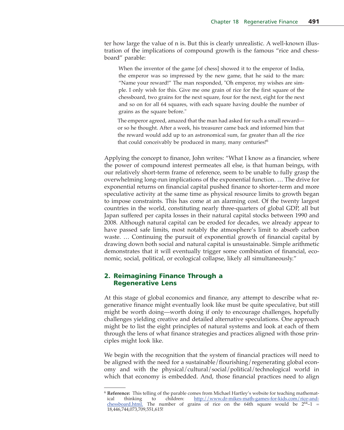ter how large the value of n is. But this is clearly unrealistic. A well-known illustration of the implications of compound growth is the famous "rice and chessboard" parable:

 When the inventor of the game [of chess] showed it to the emperor of India, the emperor was so impressed by the new game, that he said to the man: "Name your reward!" The man responded, "Oh emperor, my wishes are simple. I only wish for this. Give me one grain of rice for the first square of the chessboard, two grains for the next square, four for the next, eight for the next and so on for all 64 squares, with each square having double the number of grains as the square before."

The emperor agreed, amazed that the man had asked for such a small reward or so he thought. After a week, his treasurer came back and informed him that the reward would add up to an astronomical sum, far greater than all the rice that could conceivably be produced in many, many centuries!<sup>6</sup>

Applying the concept to finance, John writes: "What I know as a financier, where the power of compound interest permeates all else, is that human beings, with our relatively short-term frame of reference, seem to be unable to fully grasp the overwhelming long-run implications of the exponential function. … The drive for exponential returns on financial capital pushed finance to shorter-term and more speculative activity at the same time as physical resource limits to growth began to impose constraints. This has come at an alarming cost. Of the twenty largest countries in the world, constituting nearly three-quarters of global GDP, all but Japan suffered per capita losses in their natural capital stocks between 1990 and 2008. Although natural capital can be eroded for decades, we already appear to have passed safe limits, most notably the atmosphere's limit to absorb carbon waste. … Continuing the pursuit of exponential growth of financial capital by drawing down both social and natural capital is unsustainable. Simple arithmetic demonstrates that it will eventually trigger some combination of financial, economic, social, political, or ecological collapse, likely all simultaneously."

#### **2. Reimagining Finance Through a Regenerative Lens**

At this stage of global economics and finance, any attempt to describe what regenerative finance might eventually look like must be quite speculative, but still might be worth doing—worth doing if only to encourage challenges, hopefully challenges yielding creative and detailed alternative speculations. One approach might be to list the eight principles of natural systems and look at each of them through the lens of what finance strategies and practices aligned with those principles might look like.

We begin with the recognition that the system of financial practices will need to be aligned with the need for a sustainable/flourishing/regenerating global economy and with the physical/cultural/social/political/technological world in which that economy is embedded. And, those financial practices need to align

<sup>&</sup>lt;sup>6</sup> **Reference:** This telling of the parable comes from Michael Hartley's website for teaching mathemat-<br>ical thinking to children: <u>http://www.dr-mikes-math-games-for-kids.com/rice-and-</u> ical thinking to children: http://www.dr-mikes-math-games-for-kids.com/rice-andchessboard.html. The number of grains of rice on the 64th square would be  $2^{64}-1$  = 18,446,744,073,709,551,615!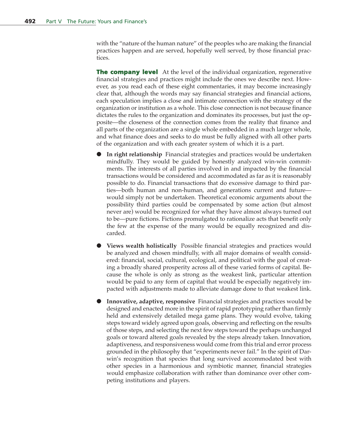with the "nature of the human nature" of the peoples who are making the financial practices happen and are served, hopefully well served, by those financial practices.

**The company level** At the level of the individual organization, regenerative financial strategies and practices might include the ones we describe next. However, as you read each of these eight commentaries, it may become increasingly clear that, although the words may say financial strategies and financial actions, each speculation implies a close and intimate connection with the strategy of the organization or institution as a whole. This close connection is not because finance dictates the rules to the organization and dominates its processes, but just the opposite—the closeness of the connection comes from the reality that finance and all parts of the organization are a single whole embedded in a much larger whole, and what finance does and seeks to do must be fully aligned with all other parts of the organization and with each greater system of which it is a part.

- **In right relationship** Financial strategies and practices would be undertaken mindfully. They would be guided by honestly analyzed win-win commitments. The interests of all parties involved in and impacted by the financial transactions would be considered and accommodated as far as it is reasonably possible to do. Financial transactions that do excessive damage to third parties—both human and non-human, and generations current and future would simply not be undertaken. Theoretical economic arguments about the possibility third parties could be compensated by some action (but almost never are) would be recognized for what they have almost always turned out to be—pure fictions. Fictions promulgated to rationalize acts that benefit only the few at the expense of the many would be equally recognized and discarded.
- **Views wealth holistically** Possible financial strategies and practices would be analyzed and chosen mindfully, with all major domains of wealth considered: financial, social, cultural, ecological, and political with the goal of creating a broadly shared prosperity across all of these varied forms of capital. Because the whole is only as strong as the weakest link, particular attention would be paid to any form of capital that would be especially negatively impacted with adjustments made to alleviate damage done to that weakest link.
- **Innovative, adaptive, responsive** Financial strategies and practices would be designed and enacted more in the spirit of rapid prototyping rather than firmly held and extensively detailed mega game plans. They would evolve, taking steps toward widely agreed upon goals, observing and reflecting on the results of those steps, and selecting the next few steps toward the perhaps unchanged goals or toward altered goals revealed by the steps already taken. Innovation, adaptiveness, and responsiveness would come from this trial and error process grounded in the philosophy that "experiments never fail." In the spirit of Darwin's recognition that species that long survived accommodated best with other species in a harmonious and symbiotic manner, financial strategies would emphasize collaboration with rather than dominance over other competing institutions and players.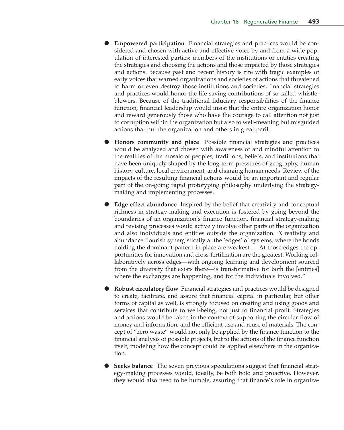- **Empowered participation** Financial strategies and practices would be considered and chosen with active and effective voice by and from a wide population of interested parties: members of the institutions or entities creating the strategies and choosing the actions and those impacted by those strategies and actions. Because past and recent history is rife with tragic examples of early voices that warned organizations and societies of actions that threatened to harm or even destroy those institutions and societies, financial strategies and practices would honor the life-saving contributions of so-called whistleblowers. Because of the traditional fiduciary responsibilities of the finance function, financial leadership would insist that the entire organization honor and reward generously those who have the courage to call attention not just to corruption within the organization but also to well-meaning but misguided actions that put the organization and others in great peril.
- **Honors community and place** Possible financial strategies and practices would be analyzed and chosen with awareness of and mindful attention to the realities of the mosaic of peoples, traditions, beliefs, and institutions that have been uniquely shaped by the long-term pressures of geography, human history, culture, local environment, and changing human needs. Review of the impacts of the resulting financial actions would be an important and regular part of the on-going rapid prototyping philosophy underlying the strategymaking and implementing processes.
- **Edge effect abundance** Inspired by the belief that creativity and conceptual richness in strategy-making and execution is fostered by going beyond the boundaries of an organization's finance function, financial strategy-making and revising processes would actively involve other parts of the organization and also individuals and entities outside the organization. "Creativity and abundance flourish synergistically at the 'edges' of systems, where the bonds holding the dominant pattern in place are weakest ... At those edges the opportunities for innovation and cross-fertilization are the greatest. Working collaboratively across edges—with ongoing learning and development sourced from the diversity that exists there—is transformative for both the [entities] where the exchanges are happening, and for the individuals involved."
- **Robust circulatory flow** Financial strategies and practices would be designed to create, facilitate, and assure that financial capital in particular, but other forms of capital as well, is strongly focused on creating and using goods and services that contribute to well-being, not just to financial profit. Strategies and actions would be taken in the context of supporting the circular flow of money and information, and the efficient use and reuse of materials. The concept of "zero waste" would not only be applied by the finance function to the financial analysis of possible projects, but to the actions of the finance function itself, modeling how the concept could be applied elsewhere in the organization.
- **Seeks balance** The seven previous speculations suggest that financial strategy-making processes would, ideally, be both bold and proactive. However, they would also need to be humble, assuring that finance's role in organiza-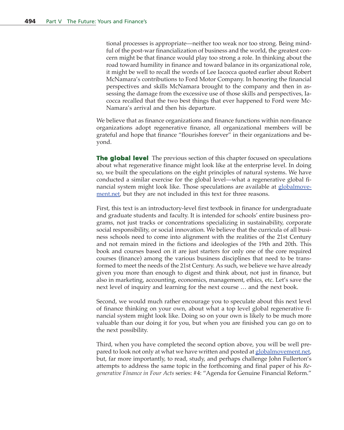tional processes is appropriate—neither too weak nor too strong. Being mindful of the post-war financialization of business and the world, the greatest concern might be that finance would play too strong a role. In thinking about the road toward humility in finance and toward balance in its organizational role, it might be well to recall the words of Lee Iacocca quoted earlier about Robert McNamara's contributions to Ford Motor Company. In honoring the financial perspectives and skills McNamara brought to the company and then in assessing the damage from the excessive use of those skills and perspectives, Iacocca recalled that the two best things that ever happened to Ford were Mc-Namara's arrival and then his departure.

We believe that as finance organizations and finance functions within non-finance organizations adopt regenerative finance, all organizational members will be grateful and hope that finance "flourishes forever" in their organizations and beyond.

**The global level** The previous section of this chapter focused on speculations about what regenerative finance might look like at the enterprise level. In doing so, we built the speculations on the eight principles of natural systems. We have conducted a similar exercise for the global level—what a regenerative global financial system might look like. Those speculations are available at <u>globalmove-</u> ment.net, but they are not included in this text for three reasons.

First, this text is an introductory-level first textbook in finance for undergraduate and graduate students and faculty. It is intended for schools' entire business programs, not just tracks or concentrations specializing in sustainability, corporate social responsibility, or social innovation. We believe that the curricula of all business schools need to come into alignment with the realities of the 21st Century and not remain mired in the fictions and ideologies of the 19th and 20th. This book and courses based on it are just starters for only one of the core required courses (finance) among the various business disciplines that need to be transformed to meet the needs of the 21st Century. As such, we believe we have already given you more than enough to digest and think about, not just in finance, but also in marketing, accounting, economics, management, ethics, etc. Let's save the next level of inquiry and learning for the next course … and the next book.

Second, we would much rather encourage you to speculate about this next level of finance thinking on your own, about what a top level global regenerative financial system might look like. Doing so on your own is likely to be much more valuable than our doing it for you, but when you are finished you can go on to the next possibility.

Third, when you have completed the second option above, you will be well prepared to look not only at what we have written and posted at <u>globalmovement.net</u>, but, far more importantly, to read, study, and perhaps challenge John Fullerton's attempts to address the same topic in the forthcoming and final paper of his *Regenerative Finance in Four Acts* series: #4: "Agenda for Genuine Financial Reform."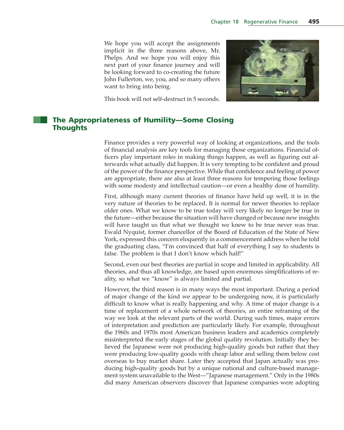We hope you will accept the assignments implicit in the three reasons above, Mr. Phelps. And we hope you will enjoy this next part of your finance journey and will be looking forward to co-creating the future John Fullerton, we, you, and so many others want to bring into being.



This book will not self-destruct in 5 seconds.

#### **The Appropriateness of Humility—Some Closing Thoughts**

Finance provides a very powerful way of looking at organizations, and the tools of financial analysis are key tools for managing those organizations. Financial officers play important roles in making things happen, as well as figuring out afterwards what actually did happen. It is very tempting to be confident and proud of the power of the finance perspective. While that confidence and feeling of power are appropriate, there are also at least three reasons for tempering those feelings with some modesty and intellectual caution—or even a healthy dose of humility.

First, although many current theories of finance have held up well, it is in the very nature of theories to be replaced. It is normal for newer theories to replace older ones. What we know to be true today will very likely no longer be true in the future—either because the situation will have changed or because new insights will have taught us that what we thought we knew to be true never was true. Ewald Nyquist, former chancellor of the Board of Education of the State of New York, expressed this concern eloquently in a commencement address when he told the graduating class, "I'm convinced that half of everything I say to students is false. The problem is that I don't know which half!"

Second, even our best theories are partial in scope and limited in applicability. All theories, and thus all knowledge, are based upon enormous simplifications of reality, so what we "know" is always limited and partial.

However, the third reason is in many ways the most important. During a period of major change of the kind we appear to be undergoing now, it is particularly difficult to know what is really happening and why. A time of major change is a time of replacement of a whole network of theories, an entire reframing of the way we look at the relevant parts of the world. During such times, major errors of interpretation and prediction are particularly likely. For example, throughout the 1960s and 1970s most American business leaders and academics completely misinterpreted the early stages of the global quality revolution. Initially they believed the Japanese were not producing high-quality goods but rather that they were producing low-quality goods with cheap labor and selling them below cost overseas to buy market share. Later they accepted that Japan actually was producing high-quality goods but by a unique national and culture-based management system unavailable to the West—"Japanese management." Only in the 1980s did many American observers discover that Japanese companies were adopting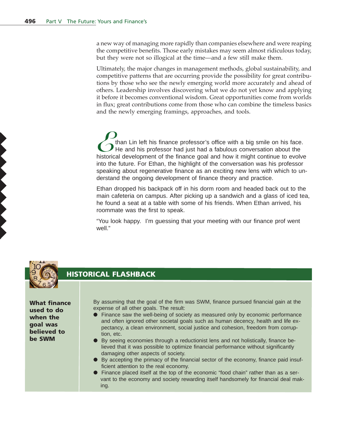a new way of managing more rapidly than companies elsewhere and were reaping the competitive benefits. Those early mistakes may seem almost ridiculous today, but they were not so illogical at the time—and a few still make them.

Ultimately, the major changes in management methods, global sustainability, and competitive patterns that are occurring provide the possibility for great contributions by those who see the newly emerging world more accurately and ahead of others. Leadership involves discovering what we do not yet know and applying it before it becomes conventional wisdom. Great opportunities come from worlds in flux; great contributions come from those who can combine the timeless basics and the newly emerging framings, approaches, and tools.

than Lin left his finance professor's office with a big smile on his face.<br>He and his professor had just had a fabulous conversation about the<br>historical development of the finance goal and how it might continue to evolve He and his professor had just had a fabulous conversation about the historical development of the finance goal and how it might continue to evolve into the future. For Ethan, the highlight of the conversation was his professor speaking about regenerative finance as an exciting new lens with which to understand the ongoing development of finance theory and practice.

Ethan dropped his backpack off in his dorm room and headed back out to the main cafeteria on campus. After picking up a sandwich and a glass of iced tea, he found a seat at a table with some of his friends. When Ethan arrived, his roommate was the first to speak.

"You look happy. I'm guessing that your meeting with our finance prof went well."



#### **HISTORICAL FLASHBACK**

**What finance used to do when the goal was believed to be SWM**

By assuming that the goal of the firm was SWM, finance pursued financial gain at the expense of all other goals. The result:

- l Finance saw the well-being of society as measured only by economic performance and often ignored other societal goals such as human decency, health and life expectancy, a clean environment, social justice and cohesion, freedom from corruption, etc.
- l By seeing economies through a reductionist lens and not holistically, finance believed that it was possible to optimize financial performance without significantly damaging other aspects of society.
- **•** By accepting the primacy of the financial sector of the economy, finance paid insufficient attention to the real economy.
- l Finance placed itself at the top of the economic "food chain" rather than as a servant to the economy and society rewarding itself handsomely for financial deal making.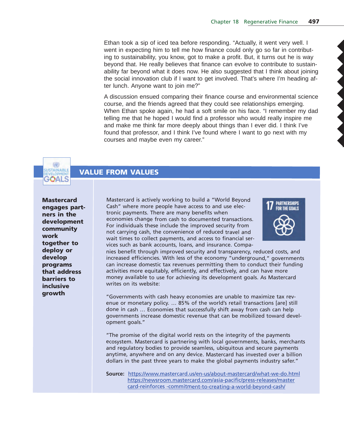Ethan took a sip of iced tea before responding. "Actually, it went very well. I went in expecting him to tell me how finance could only go so far in contributing to sustainability, you know, got to make a profit. But, it turns out he is way beyond that. He really believes that finance can evolve to contribute to sustainability far beyond what it does now. He also suggested that I think about joining the social innovation club if I want to get involved. That's where I'm heading after lunch. Anyone want to join me?"

A discussion ensued comparing their finance course and environmental science course, and the friends agreed that they could see relationships emerging. When Ethan spoke again, he had a soft smile on his face. "I remember my dad telling me that he hoped I would find a professor who would really inspire me and make me think far more deeply about things than I ever did. I think I've found that professor, and I think I've found where I want to go next with my courses and maybe even my career."



#### **VALUE FROM VALUES**

**Mastercard engages partners in the development community work together to deploy or develop programs that address barriers to inclusive growth**

Mastercard is actively working to build a "World Beyond Cash" where more people have access to and use electronic payments. There are many benefits when economies change from cash to documented transactions. For individuals these include the improved security from not carrying cash, the convenience of reduced travel and wait times to collect payments, and access to financial ser-

vices such as bank accounts, loans, and insurance. Compa-



nies benefit through improved security and transparency, reduced costs, and increased efficiencies. With less of the economy "underground," governments can increase domestic tax revenues permitting them to conduct their funding activities more equitably, efficiently, and effectively, and can have more money available to use for achieving its development goals. As Mastercard writes on its website:

"Governments with cash heavy economies are unable to maximize tax revenue or monetary policy. … 85% of the world's retail transactions [are] still done in cash … Economies that successfully shift away from cash can help governments increase domestic revenue that can be mobilized toward development goals."

"The promise of the digital world rests on the integrity of the payments ecosystem. Mastercard is partnering with local governments, banks, merchants and regulatory bodies to provide seamless, ubiquitous and secure payments anytime, anywhere and on any device. Mastercard has invested over a billion dollars in the past three years to make the global payments industry safer."

**Source:** https://www.mastercard.us/en-us/about-mastercard/what-we-do.html https://newsroom.mastercard.com/asia-pacific/press-releases/master card-reinforces -commitment-to-creating-a-world-beyond-cash/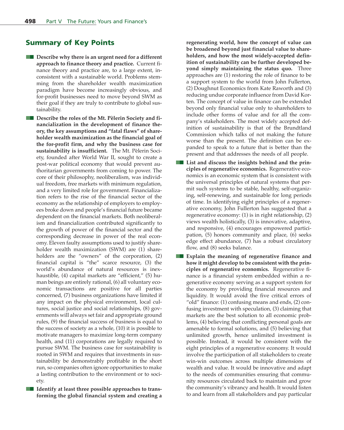#### **Summary of Key Points**

- **Describe why there is an urgent need for a different approach to finance theory and practice.** Current finance theory and practice are, to a large extent, inconsistent with a sustainable world. Problems stemming from the shareholder wealth maximization paradigm have become increasingly obvious, and for-profit businesses need to move beyond SWM as their goal if they are truly to contribute to global sustainability.
- **Describe the roles of the Mt. Pèlerin Society and financialization in the development of finance theory, the key assumptions and "fatal flaws" of shareholder wealth maximization as the financial goal of the for-profit firm, and why the business case for** sustainability is insufficient. The Mt. Pèlerin Society, founded after World War II, sought to create a post-war political economy that would prevent authoritarian governments from coming to power. The core of their philosophy, neoliberalism, was individual freedom, free markets with minimum regulation, and a very limited role for government. Financialization refers to the rise of the financial sector of the economy as the relationship of employers to employees broke down and people's financial future became dependent on the financial markets. Both neoliberalism and financialization contributed significantly to the growth of power of the financial sector and the corresponding decrease in power of the real economy. Eleven faulty assumptions used to justify shareholder wealth maximization (SWM) are (1) shareholders are the "owners" of the corporation,  $(2)$ financial capital is "the" scarce resource, (3) the world's abundance of natural resources is inexhaustible, (4) capital markets are "efficient," (5) human beings are entirely rational, (6) all voluntary economic transactions are positive for all parties concerned, (7) business organizations have limited if any impact on the physical environment, local cultures, social justice and social relationships, (8) governments will always set fair and appropriate ground rules, (9) the financial success of business is equal to the success of society as a whole, (10) it is possible to motivate managers to maximize long-term company health, and (11) corporations are legally required to pursue SWM. The business case for sustainability is rooted in SWM and requires that investments in sustainability be demonstrably profitable in the short run, so companies often ignore opportunities to make a lasting contribution to the environment or to society.
- **IDED** Identify at least three possible approaches to trans**forming the global financial system and creating a**

**regenerating world, how the concept of value can be broadened beyond just financial value to shareholders, and how the most widely-accepted definition of sustainability can be further developed beyond simply maintaining the status quo.** Three approaches are (1) restoring the role of finance to be a support system to the world from John Fullerton, (2) Doughnut Economics from Kate Raworth and (3) reducing undue corporate influence from David Korten. The concept of value in finance can be extended beyond only financial value only to shareholders to include other forms of value and for all the company's stakeholders. The most widely accepted definition of sustainability is that of the Brundtland Commission which talks of not making the future worse than the present. The definition can be expanded to speak to a future that is better than the present and that addresses the needs of all people.

- **List and discuss the insights behind and the principles of regenerative economics.** Regenerative economics is an economic system that is consistent with the universal principles of natural systems that permit such systems to be stable, healthy, self-organizing, self-renewing, and sustainable for long periods of time. In identifying eight principles of a regenerative economy, John Fullerton has suggested that a regenerative economy: (1) is in right relationship, (2) views wealth holistically, (3) is innovative, adaptive, and responsive, (4) encourages empowered participation, (5) honors community and place, (6) seeks edge effect abundance, (7) has a robust circulatory flow, and (8) seeks balance.
- **EXPLAIN THE EXPLAIN THE MEANING OF THE EXPLAIN THE EXPLAINING OF THE EXPLAINING OF EXPLORING THE EXPLORING THE EXPLORING THE EXPLORING THE EXPLORING THE EXPLORING THE EXPLORING THE EXPLORING THE EXPLORING THE EXPLORING TH how it might develop to be consistent with the principles of regenerative economics.** Regenerative finance is a financial system embedded within a regenerative economy serving as a support system for the economy by providing financial resources and liquidity. It would avoid the five critical errors of "old" finance: (1) confusing means and ends, (2) confusing investment with speculation, (3) claiming that markets are the best solution to all economic problems, (4) believing that conflicting personal goals are amenable to formal solutions, and (5) believing that unlimited growth, hence unlimited investment is possible. Instead, it would be consistent with the eight principles of a regenerative economy. It would involve the participation of all stakeholders to create win-win outcomes across multiple dimensions of wealth and value. It would be innovative and adapt to the needs of communities ensuring that community resources circulated back to maintain and grow the community's vibrancy and health. It would listen to and learn from all stakeholders and pay particular